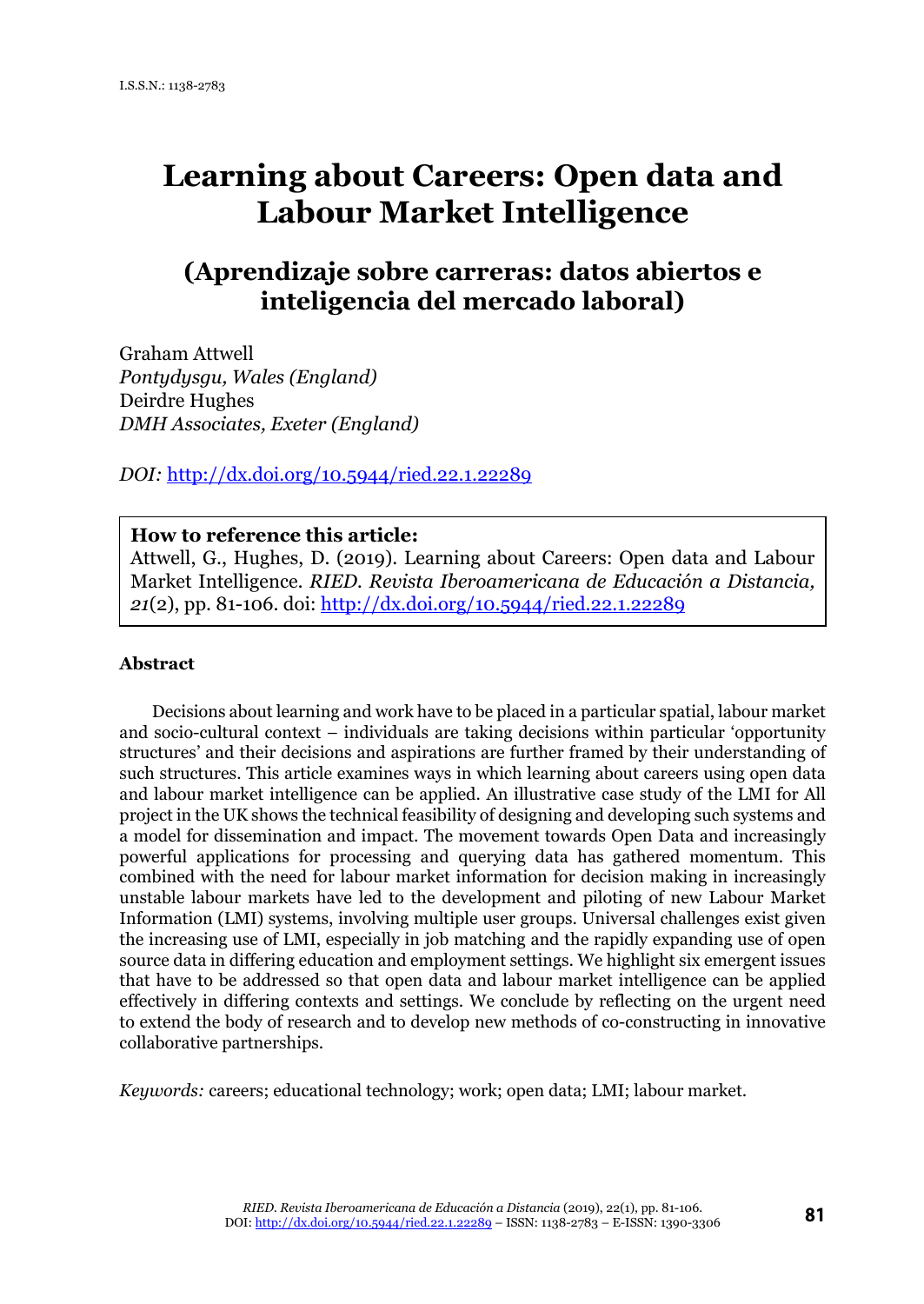# **Learning about Careers: Open data and Labour Market Intelligence**

# **(Aprendizaje sobre carreras: datos abiertos e inteligencia del mercado laboral)**

Graham Attwell *Pontydysgu, Wales (England)* Deirdre Hughes *DMH Associates, Exeter (England)*

*DOI:* <http://dx.doi.org/10.5944/ried.22.1.22289>

#### **How to reference this article:**

Attwell, G., Hughes, D. (2019). Learning about Careers: Open data and Labour Market Intelligence*. RIED. Revista Iberoamericana de Educación a Distancia, 21*(2), pp. 81-106. doi:<http://dx.doi.org/10.5944/ried.22.1.22289>

#### **Abstract**

Decisions about learning and work have to be placed in a particular spatial, labour market and socio-cultural context – individuals are taking decisions within particular 'opportunity structures' and their decisions and aspirations are further framed by their understanding of such structures. This article examines ways in which learning about careers using open data and labour market intelligence can be applied. An illustrative case study of the LMI for All project in the UK shows the technical feasibility of designing and developing such systems and a model for dissemination and impact. The movement towards Open Data and increasingly powerful applications for processing and querying data has gathered momentum. This combined with the need for labour market information for decision making in increasingly unstable labour markets have led to the development and piloting of new Labour Market Information (LMI) systems, involving multiple user groups. Universal challenges exist given the increasing use of LMI, especially in job matching and the rapidly expanding use of open source data in differing education and employment settings. We highlight six emergent issues that have to be addressed so that open data and labour market intelligence can be applied effectively in differing contexts and settings. We conclude by reflecting on the urgent need to extend the body of research and to develop new methods of co-constructing in innovative collaborative partnerships.

*Keywords:* careers; educational technology; work; open data; LMI; labour market.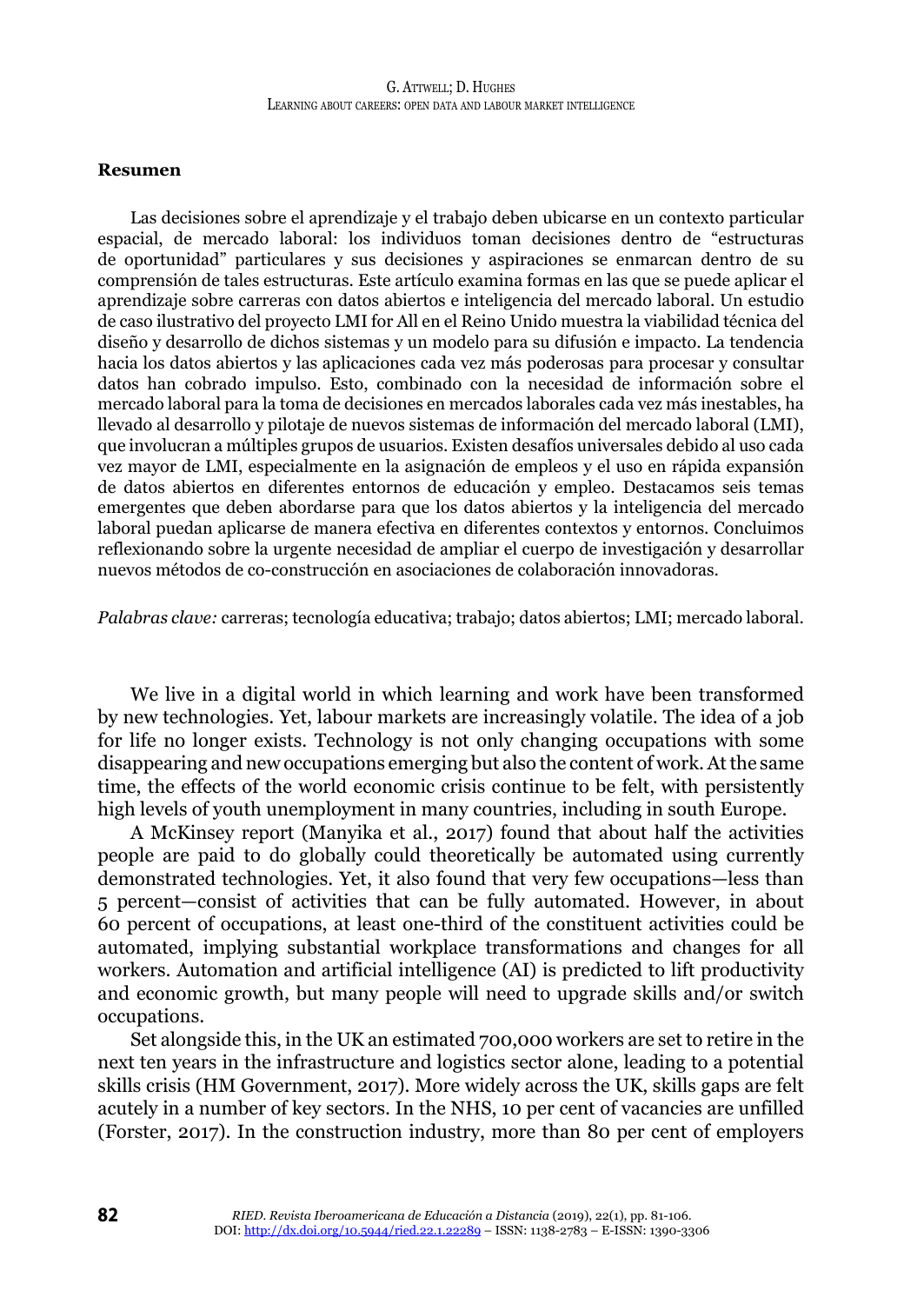#### **Resumen**

Las decisiones sobre el aprendizaje y el trabajo deben ubicarse en un contexto particular espacial, de mercado laboral: los individuos toman decisiones dentro de "estructuras de oportunidad" particulares y sus decisiones y aspiraciones se enmarcan dentro de su comprensión de tales estructuras. Este artículo examina formas en las que se puede aplicar el aprendizaje sobre carreras con datos abiertos e inteligencia del mercado laboral. Un estudio de caso ilustrativo del proyecto LMI for All en el Reino Unido muestra la viabilidad técnica del diseño y desarrollo de dichos sistemas y un modelo para su difusión e impacto. La tendencia hacia los datos abiertos y las aplicaciones cada vez más poderosas para procesar y consultar datos han cobrado impulso. Esto, combinado con la necesidad de información sobre el mercado laboral para la toma de decisiones en mercados laborales cada vez más inestables, ha llevado al desarrollo y pilotaje de nuevos sistemas de información del mercado laboral (LMI), que involucran a múltiples grupos de usuarios. Existen desafíos universales debido al uso cada vez mayor de LMI, especialmente en la asignación de empleos y el uso en rápida expansión de datos abiertos en diferentes entornos de educación y empleo. Destacamos seis temas emergentes que deben abordarse para que los datos abiertos y la inteligencia del mercado laboral puedan aplicarse de manera efectiva en diferentes contextos y entornos. Concluimos reflexionando sobre la urgente necesidad de ampliar el cuerpo de investigación y desarrollar nuevos métodos de co-construcción en asociaciones de colaboración innovadoras.

*Palabras clave:* carreras; tecnología educativa; trabajo; datos abiertos; LMI; mercado laboral.

We live in a digital world in which learning and work have been transformed by new technologies. Yet, labour markets are increasingly volatile. The idea of a job for life no longer exists. Technology is not only changing occupations with some disappearing and new occupations emerging but also the content of work. At the same time, the effects of the world economic crisis continue to be felt, with persistently high levels of youth unemployment in many countries, including in south Europe.

A McKinsey report (Manyika et al., 2017) found that about half the activities people are paid to do globally could theoretically be automated using currently demonstrated technologies. Yet, it also found that very few occupations—less than 5 percent—consist of activities that can be fully automated. However, in about 60 percent of occupations, at least one-third of the constituent activities could be automated, implying substantial workplace transformations and changes for all workers. Automation and artificial intelligence (AI) is predicted to lift productivity and economic growth, but many people will need to upgrade skills and/or switch occupations.

Set alongside this, in the UK an estimated 700,000 workers are set to retire in the next ten years in the infrastructure and logistics sector alone, leading to a potential skills crisis (HM Government, 2017). More widely across the UK, skills gaps are felt acutely in a number of key sectors. In the NHS, 10 per cent of vacancies are unfilled (Forster, 2017). In the construction industry, more than 80 per cent of employers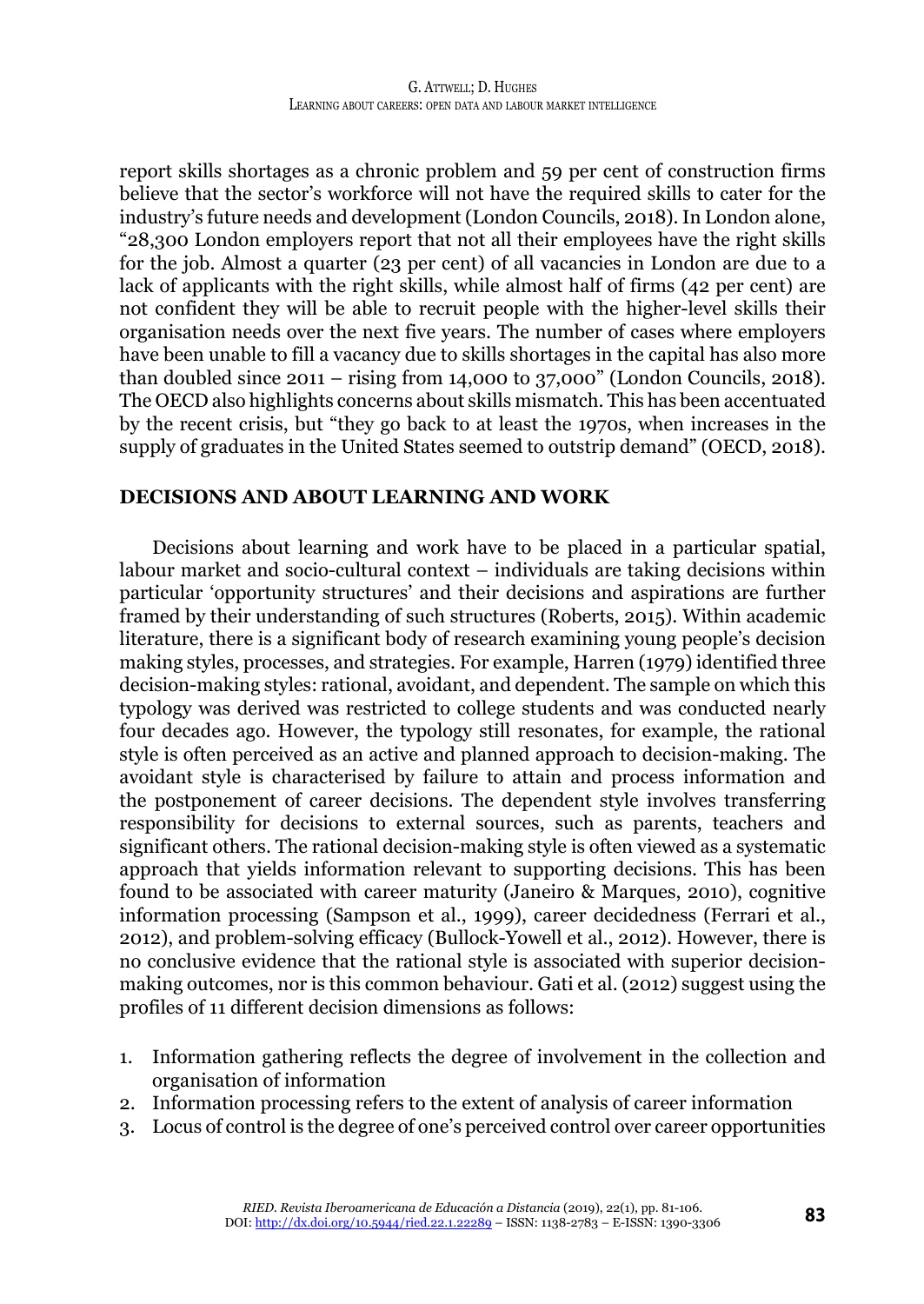report skills shortages as a chronic problem and 59 per cent of construction firms believe that the sector's workforce will not have the required skills to cater for the industry's future needs and development (London Councils, 2018). In London alone, "28,300 London employers report that not all their employees have the right skills for the job. Almost a quarter (23 per cent) of all vacancies in London are due to a lack of applicants with the right skills, while almost half of firms (42 per cent) are not confident they will be able to recruit people with the higher-level skills their organisation needs over the next five years. The number of cases where employers have been unable to fill a vacancy due to skills shortages in the capital has also more than doubled since 2011 – rising from 14,000 to 37,000" (London Councils, 2018). The OECD also highlights concerns about skills mismatch. This has been accentuated by the recent crisis, but "they go back to at least the 1970s, when increases in the supply of graduates in the United States seemed to outstrip demand" (OECD, 2018).

#### **DECISIONS AND ABOUT LEARNING AND WORK**

Decisions about learning and work have to be placed in a particular spatial, labour market and socio-cultural context – individuals are taking decisions within particular 'opportunity structures' and their decisions and aspirations are further framed by their understanding of such structures (Roberts, 2015). Within academic literature, there is a significant body of research examining young people's decision making styles, processes, and strategies. For example, Harren (1979) identified three decision-making styles: rational, avoidant, and dependent. The sample on which this typology was derived was restricted to college students and was conducted nearly four decades ago. However, the typology still resonates, for example, the rational style is often perceived as an active and planned approach to decision-making. The avoidant style is characterised by failure to attain and process information and the postponement of career decisions. The dependent style involves transferring responsibility for decisions to external sources, such as parents, teachers and significant others. The rational decision-making style is often viewed as a systematic approach that yields information relevant to supporting decisions. This has been found to be associated with career maturity (Janeiro & Marques, 2010), cognitive information processing (Sampson et al., 1999), career decidedness (Ferrari et al., 2012), and problem-solving efficacy (Bullock-Yowell et al., 2012). However, there is no conclusive evidence that the rational style is associated with superior decisionmaking outcomes, nor is this common behaviour. Gati et al. (2012) suggest using the profiles of 11 different decision dimensions as follows:

- 1. Information gathering reflects the degree of involvement in the collection and organisation of information
- 2. Information processing refers to the extent of analysis of career information
- 3. Locus of control is the degree of one's perceived control over career opportunities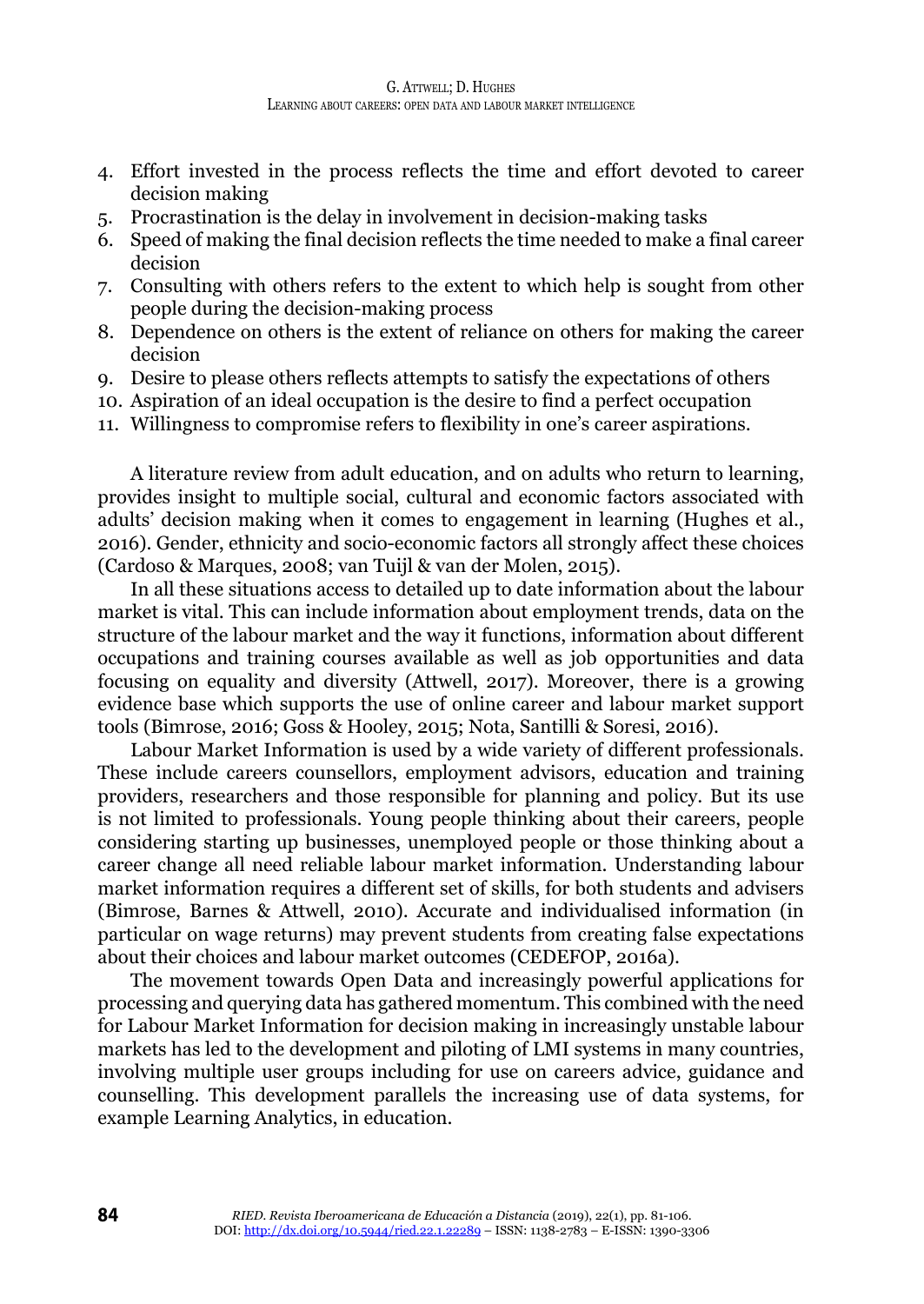- 4. Effort invested in the process reflects the time and effort devoted to career decision making
- 5. Procrastination is the delay in involvement in decision-making tasks
- 6. Speed of making the final decision reflects the time needed to make a final career decision
- 7. Consulting with others refers to the extent to which help is sought from other people during the decision-making process
- 8. Dependence on others is the extent of reliance on others for making the career decision
- 9. Desire to please others reflects attempts to satisfy the expectations of others
- 10. Aspiration of an ideal occupation is the desire to find a perfect occupation
- 11. Willingness to compromise refers to flexibility in one's career aspirations.

A literature review from adult education, and on adults who return to learning, provides insight to multiple social, cultural and economic factors associated with adults' decision making when it comes to engagement in learning (Hughes et al., 2016). Gender, ethnicity and socio-economic factors all strongly affect these choices (Cardoso & Marques, 2008; van Tuijl & van der Molen, 2015).

In all these situations access to detailed up to date information about the labour market is vital. This can include information about employment trends, data on the structure of the labour market and the way it functions, information about different occupations and training courses available as well as job opportunities and data focusing on equality and diversity (Attwell, 2017). Moreover, there is a growing evidence base which supports the use of online career and labour market support tools (Bimrose, 2016; Goss & Hooley, 2015; Nota, Santilli & Soresi, 2016).

Labour Market Information is used by a wide variety of different professionals. These include careers counsellors, employment advisors, education and training providers, researchers and those responsible for planning and policy. But its use is not limited to professionals. Young people thinking about their careers, people considering starting up businesses, unemployed people or those thinking about a career change all need reliable labour market information. Understanding labour market information requires a different set of skills, for both students and advisers (Bimrose, Barnes & Attwell, 2010). Accurate and individualised information (in particular on wage returns) may prevent students from creating false expectations about their choices and labour market outcomes (CEDEFOP, 2016a).

The movement towards Open Data and increasingly powerful applications for processing and querying data has gathered momentum. This combined with the need for Labour Market Information for decision making in increasingly unstable labour markets has led to the development and piloting of LMI systems in many countries, involving multiple user groups including for use on careers advice, guidance and counselling. This development parallels the increasing use of data systems, for example Learning Analytics, in education.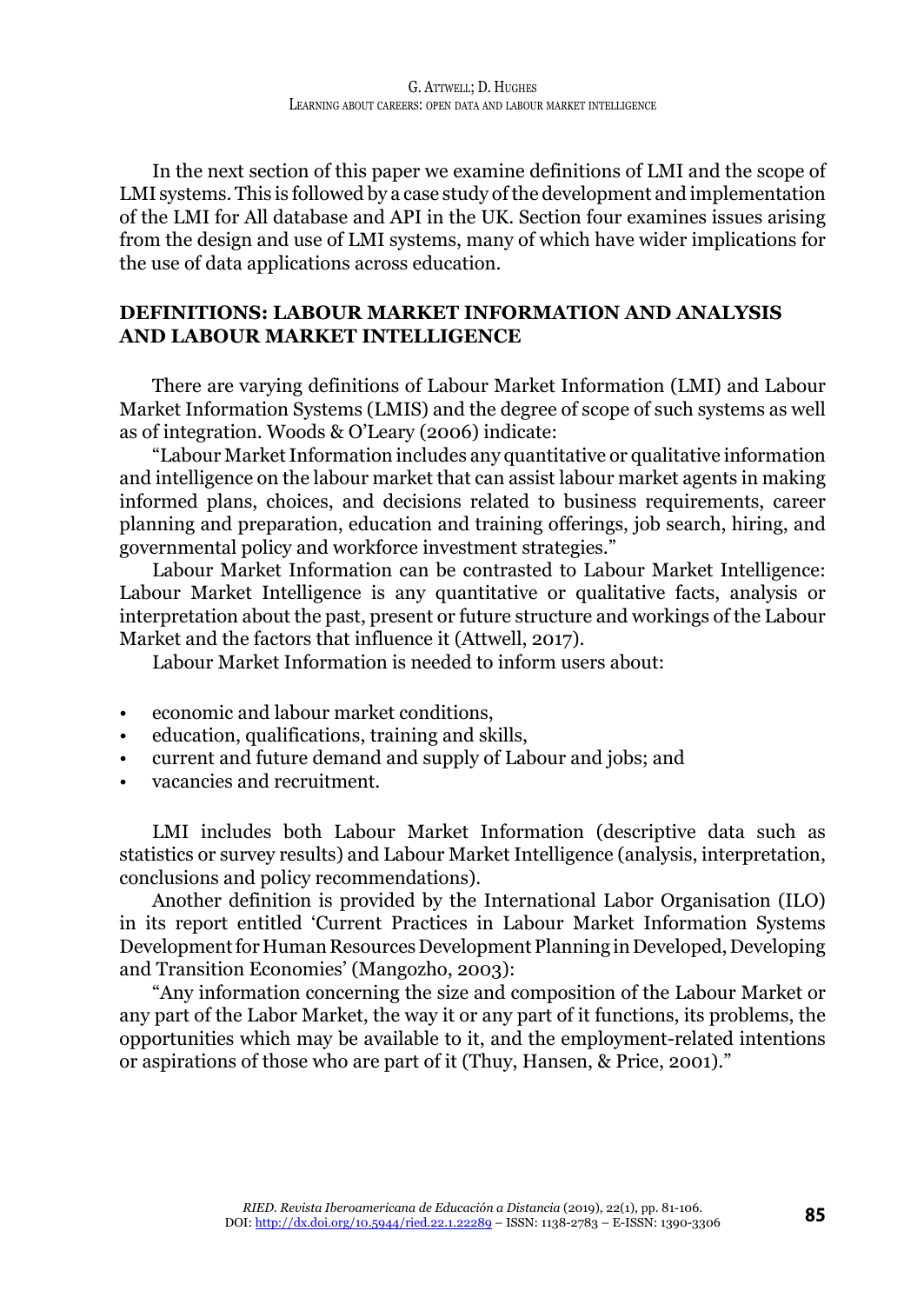In the next section of this paper we examine definitions of LMI and the scope of LMI systems. This is followed by a case study of the development and implementation of the LMI for All database and API in the UK. Section four examines issues arising from the design and use of LMI systems, many of which have wider implications for the use of data applications across education.

# **DEFINITIONS: LABOUR MARKET INFORMATION AND ANALYSIS AND LABOUR MARKET INTELLIGENCE**

There are varying definitions of Labour Market Information (LMI) and Labour Market Information Systems (LMIS) and the degree of scope of such systems as well as of integration. Woods & O'Leary (2006) indicate:

"Labour Market Information includes any quantitative or qualitative information and intelligence on the labour market that can assist labour market agents in making informed plans, choices, and decisions related to business requirements, career planning and preparation, education and training offerings, job search, hiring, and governmental policy and workforce investment strategies."

Labour Market Information can be contrasted to Labour Market Intelligence: Labour Market Intelligence is any quantitative or qualitative facts, analysis or interpretation about the past, present or future structure and workings of the Labour Market and the factors that influence it (Attwell, 2017).

Labour Market Information is needed to inform users about:

- economic and labour market conditions,
- education, qualifications, training and skills,
- current and future demand and supply of Labour and jobs; and
- vacancies and recruitment.

LMI includes both Labour Market Information (descriptive data such as statistics or survey results) and Labour Market Intelligence (analysis, interpretation, conclusions and policy recommendations).

Another definition is provided by the International Labor Organisation (ILO) in its report entitled 'Current Practices in Labour Market Information Systems Development for Human Resources Development Planning in Developed, Developing and Transition Economies' (Mangozho, 2003):

"Any information concerning the size and composition of the Labour Market or any part of the Labor Market, the way it or any part of it functions, its problems, the opportunities which may be available to it, and the employment-related intentions or aspirations of those who are part of it (Thuy, Hansen, & Price, 2001)."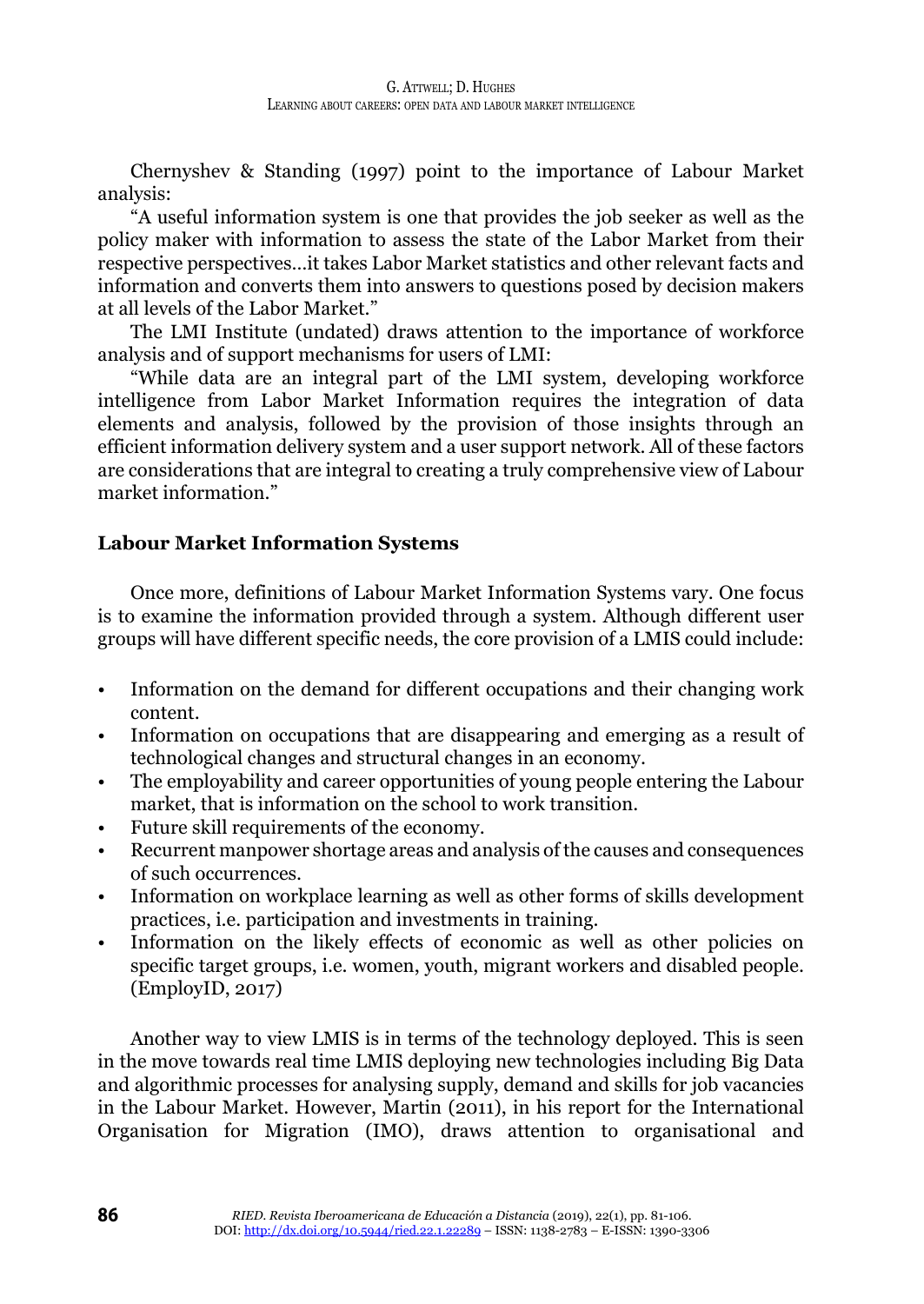Chernyshev & Standing (1997) point to the importance of Labour Market analysis:

"A useful information system is one that provides the job seeker as well as the policy maker with information to assess the state of the Labor Market from their respective perspectives…it takes Labor Market statistics and other relevant facts and information and converts them into answers to questions posed by decision makers at all levels of the Labor Market."

The LMI Institute (undated) draws attention to the importance of workforce analysis and of support mechanisms for users of LMI:

"While data are an integral part of the LMI system, developing workforce intelligence from Labor Market Information requires the integration of data elements and analysis, followed by the provision of those insights through an efficient information delivery system and a user support network. All of these factors are considerations that are integral to creating a truly comprehensive view of Labour market information."

# **Labour Market Information Systems**

Once more, definitions of Labour Market Information Systems vary. One focus is to examine the information provided through a system. Although different user groups will have different specific needs, the core provision of a LMIS could include:

- Information on the demand for different occupations and their changing work content.
- Information on occupations that are disappearing and emerging as a result of technological changes and structural changes in an economy.
- The employability and career opportunities of young people entering the Labour market, that is information on the school to work transition.
- Future skill requirements of the economy.
- Recurrent manpower shortage areas and analysis of the causes and consequences of such occurrences.
- Information on workplace learning as well as other forms of skills development practices, i.e. participation and investments in training.
- Information on the likely effects of economic as well as other policies on specific target groups, i.e. women, youth, migrant workers and disabled people. (EmployID, 2017)

Another way to view LMIS is in terms of the technology deployed. This is seen in the move towards real time LMIS deploying new technologies including Big Data and algorithmic processes for analysing supply, demand and skills for job vacancies in the Labour Market. However, Martin (2011), in his report for the International Organisation for Migration (IMO), draws attention to organisational and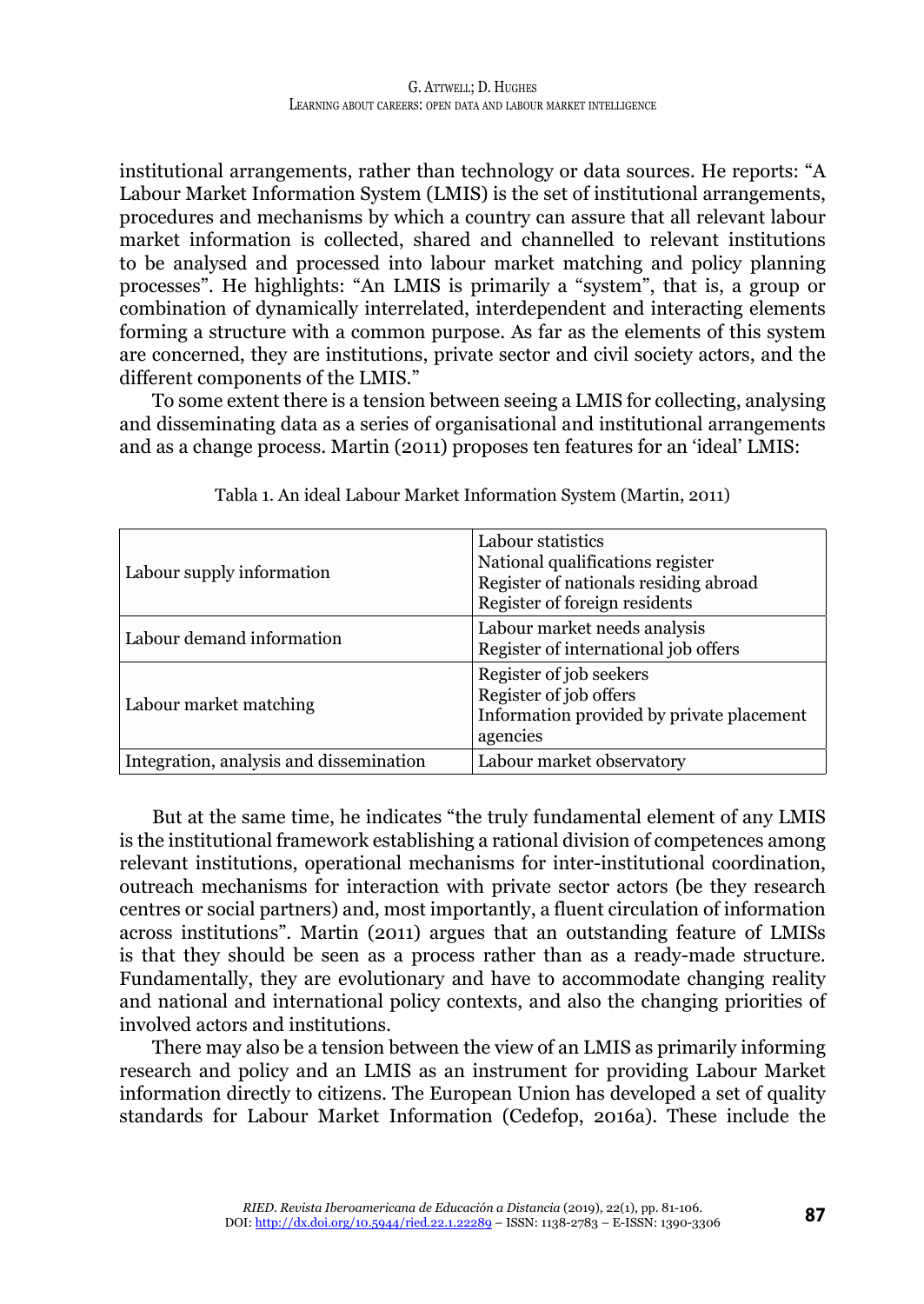institutional arrangements, rather than technology or data sources. He reports: "A Labour Market Information System (LMIS) is the set of institutional arrangements, procedures and mechanisms by which a country can assure that all relevant labour market information is collected, shared and channelled to relevant institutions to be analysed and processed into labour market matching and policy planning processes". He highlights: "An LMIS is primarily a "system", that is, a group or combination of dynamically interrelated, interdependent and interacting elements forming a structure with a common purpose. As far as the elements of this system are concerned, they are institutions, private sector and civil society actors, and the different components of the LMIS."

To some extent there is a tension between seeing a LMIS for collecting, analysing and disseminating data as a series of organisational and institutional arrangements and as a change process. Martin (2011) proposes ten features for an 'ideal' LMIS:

| Labour supply information               | Labour statistics<br>National qualifications register<br>Register of nationals residing abroad<br>Register of foreign residents |
|-----------------------------------------|---------------------------------------------------------------------------------------------------------------------------------|
| Labour demand information               | Labour market needs analysis<br>Register of international job offers                                                            |
| Labour market matching                  | Register of job seekers<br>Register of job offers<br>Information provided by private placement<br>agencies                      |
| Integration, analysis and dissemination | Labour market observatory                                                                                                       |

Tabla 1. An ideal Labour Market Information System (Martin, 2011)

But at the same time, he indicates "the truly fundamental element of any LMIS is the institutional framework establishing a rational division of competences among relevant institutions, operational mechanisms for inter-institutional coordination, outreach mechanisms for interaction with private sector actors (be they research centres or social partners) and, most importantly, a fluent circulation of information across institutions". Martin (2011) argues that an outstanding feature of LMISs is that they should be seen as a process rather than as a ready-made structure. Fundamentally, they are evolutionary and have to accommodate changing reality and national and international policy contexts, and also the changing priorities of involved actors and institutions.

There may also be a tension between the view of an LMIS as primarily informing research and policy and an LMIS as an instrument for providing Labour Market information directly to citizens. The European Union has developed a set of quality standards for Labour Market Information (Cedefop, 2016a). These include the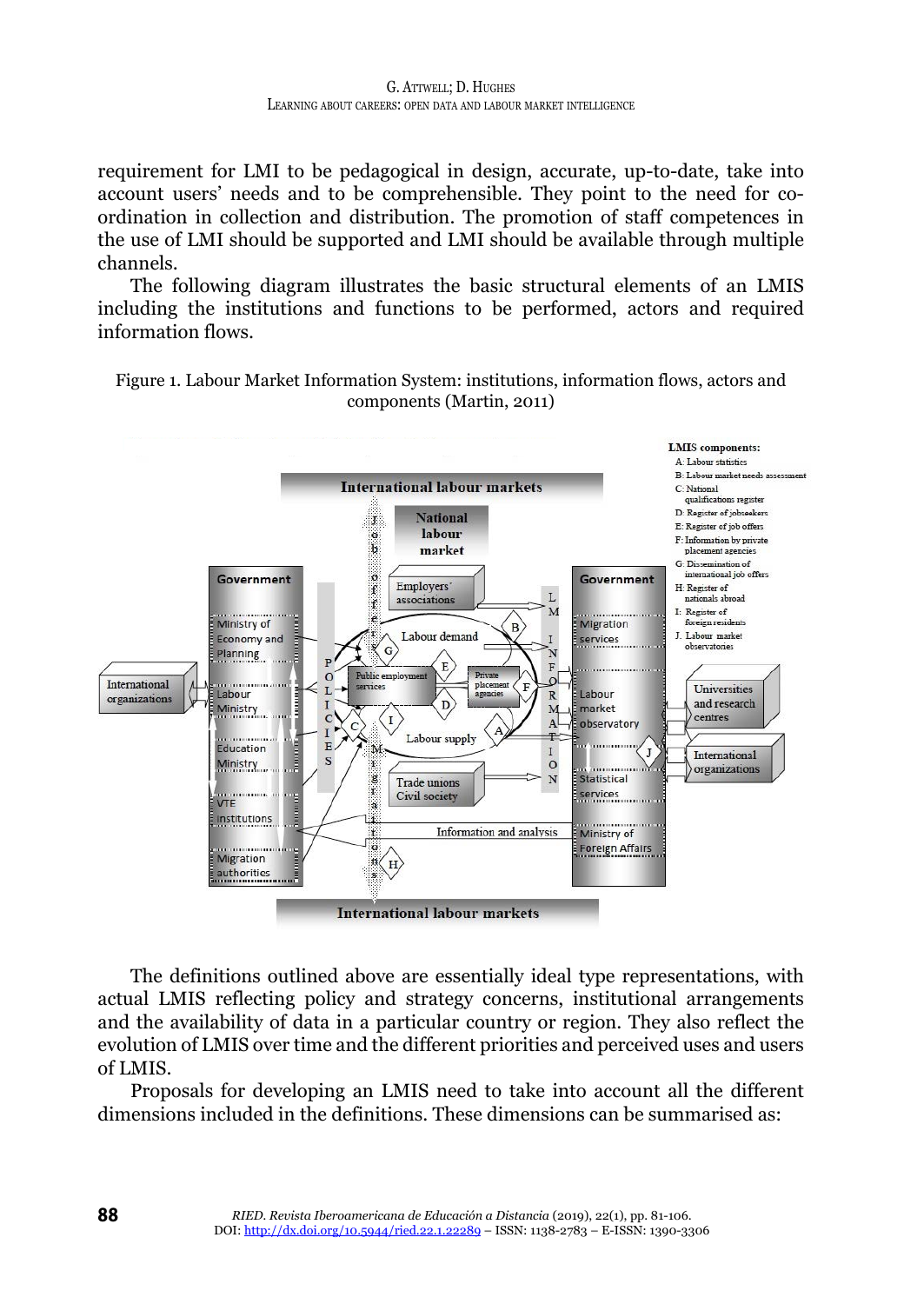requirement for LMI to be pedagogical in design, accurate, up-to-date, take into account users' needs and to be comprehensible. They point to the need for coordination in collection and distribution. The promotion of staff competences in the use of LMI should be supported and LMI should be available through multiple channels.

The following diagram illustrates the basic structural elements of an LMIS including the institutions and functions to be performed, actors and required information flows.





The definitions outlined above are essentially ideal type representations, with actual LMIS reflecting policy and strategy concerns, institutional arrangements and the availability of data in a particular country or region. They also reflect the evolution of LMIS over time and the different priorities and perceived uses and users of LMIS.

Proposals for developing an LMIS need to take into account all the different dimensions included in the definitions. These dimensions can be summarised as: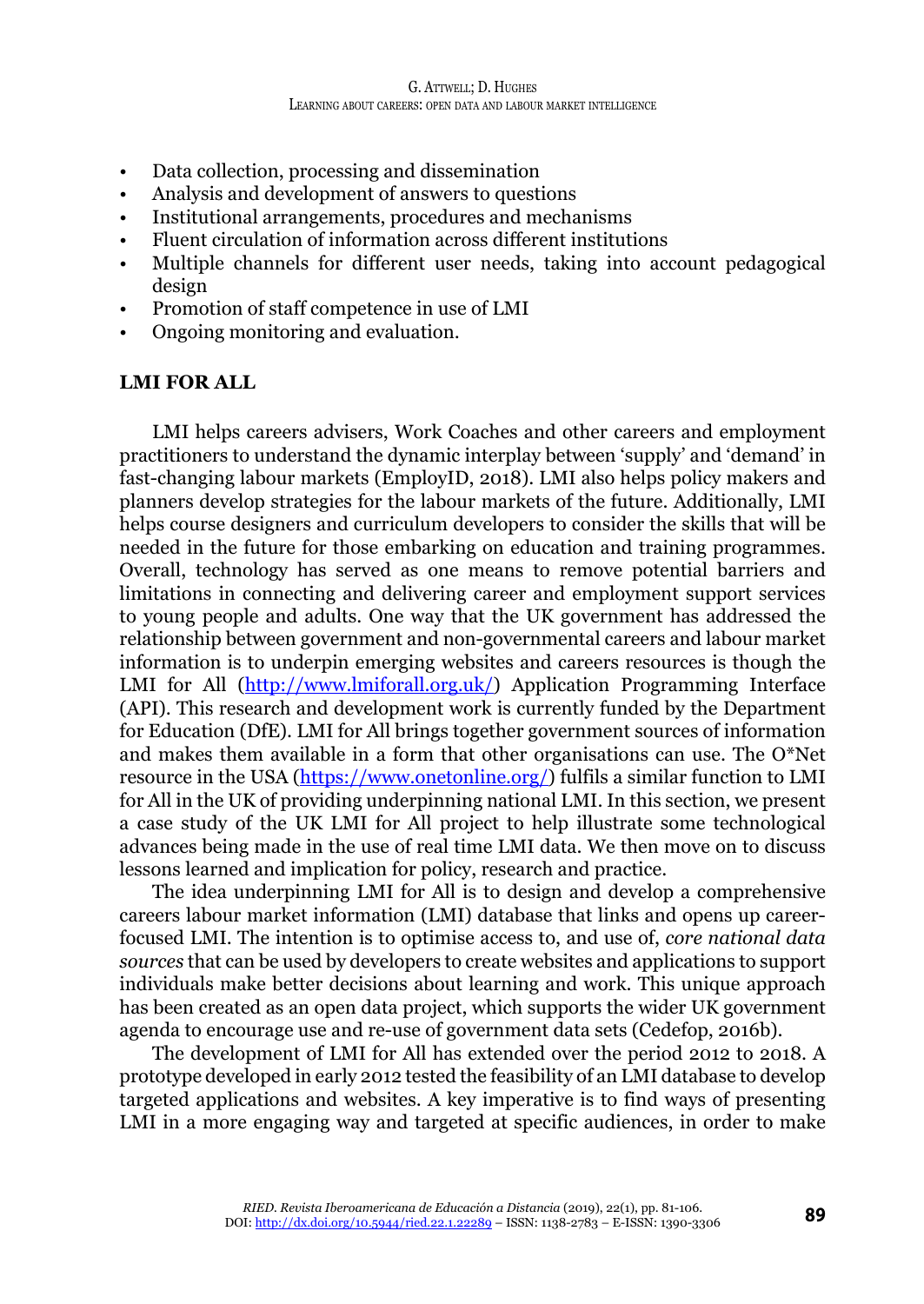- Data collection, processing and dissemination
- Analysis and development of answers to questions
- Institutional arrangements, procedures and mechanisms
- Fluent circulation of information across different institutions
- Multiple channels for different user needs, taking into account pedagogical design
- Promotion of staff competence in use of LMI
- Ongoing monitoring and evaluation.

#### **LMI FOR ALL**

LMI helps careers advisers, Work Coaches and other careers and employment practitioners to understand the dynamic interplay between 'supply' and 'demand' in fast-changing labour markets (EmployID, 2018). LMI also helps policy makers and planners develop strategies for the labour markets of the future. Additionally, LMI helps course designers and curriculum developers to consider the skills that will be needed in the future for those embarking on education and training programmes. Overall, technology has served as one means to remove potential barriers and limitations in connecting and delivering career and employment support services to young people and adults. One way that the UK government has addressed the relationship between government and non-governmental careers and labour market information is to underpin emerging websites and careers resources is though the LMI for All (<http://www.lmiforall.org.uk/>) Application Programming Interface (API). This research and development work is currently funded by the Department for Education (DfE). LMI for All brings together government sources of information and makes them available in a form that other organisations can use. The O\*Net resource in the USA (<https://www.onetonline.org/>) fulfils a similar function to LMI for All in the UK of providing underpinning national LMI. In this section, we present a case study of the UK LMI for All project to help illustrate some technological advances being made in the use of real time LMI data. We then move on to discuss lessons learned and implication for policy, research and practice.

The idea underpinning LMI for All is to design and develop a comprehensive careers labour market information (LMI) database that links and opens up careerfocused LMI. The intention is to optimise access to, and use of, *core national data sources* that can be used by developers to create websites and applications to support individuals make better decisions about learning and work. This unique approach has been created as an open data project, which supports the wider UK government agenda to encourage use and re-use of government data sets (Cedefop, 2016b).

The development of LMI for All has extended over the period 2012 to 2018. A prototype developed in early 2012 tested the feasibility of an LMI database to develop targeted applications and websites. A key imperative is to find ways of presenting LMI in a more engaging way and targeted at specific audiences, in order to make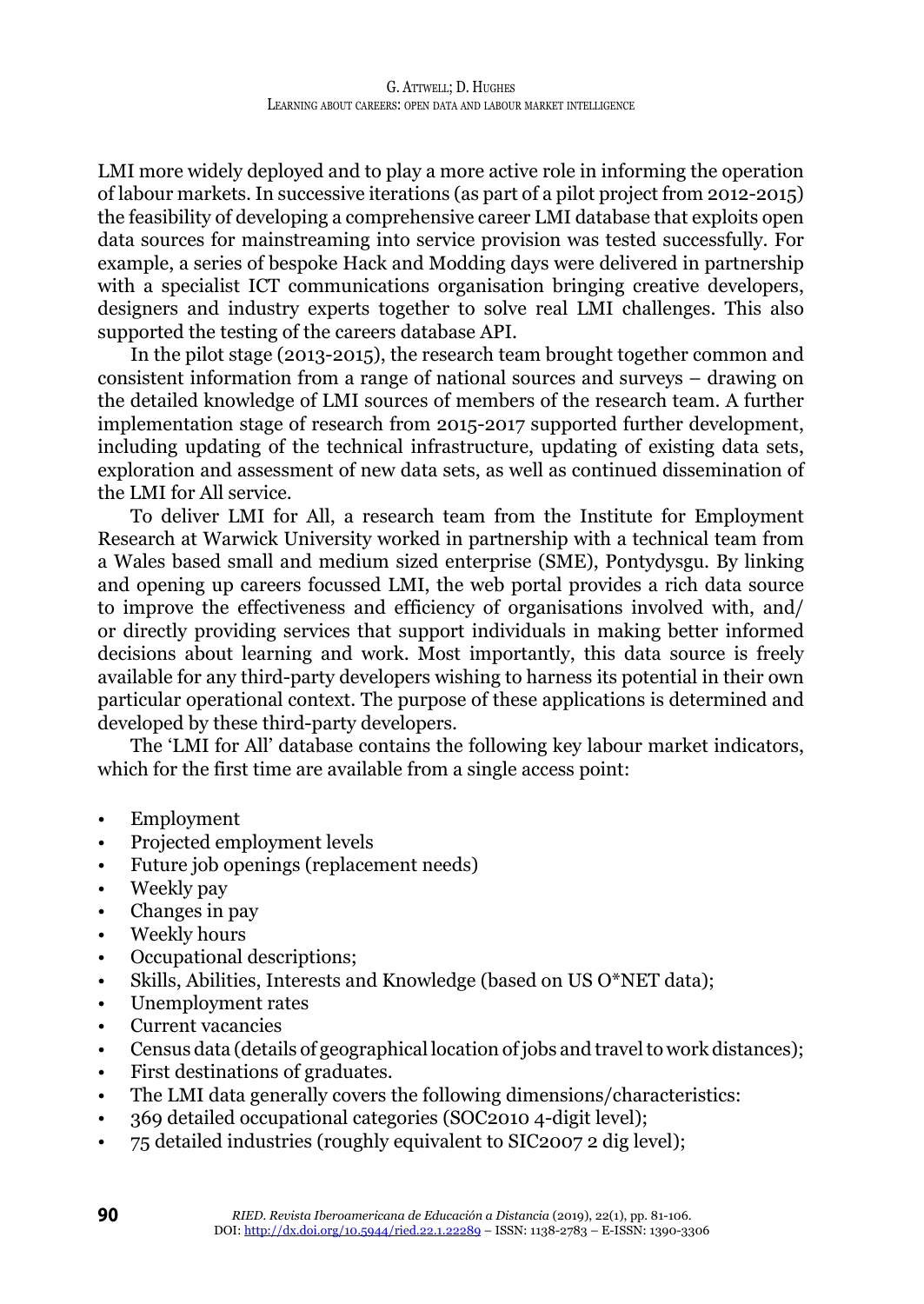LMI more widely deployed and to play a more active role in informing the operation of labour markets. In successive iterations (as part of a pilot project from 2012-2015) the feasibility of developing a comprehensive career LMI database that exploits open data sources for mainstreaming into service provision was tested successfully. For example, a series of bespoke Hack and Modding days were delivered in partnership with a specialist ICT communications organisation bringing creative developers, designers and industry experts together to solve real LMI challenges. This also supported the testing of the careers database API.

In the pilot stage (2013-2015), the research team brought together common and consistent information from a range of national sources and surveys – drawing on the detailed knowledge of LMI sources of members of the research team. A further implementation stage of research from 2015-2017 supported further development, including updating of the technical infrastructure, updating of existing data sets, exploration and assessment of new data sets, as well as continued dissemination of the LMI for All service.

To deliver LMI for All, a research team from the Institute for Employment Research at Warwick University worked in partnership with a technical team from a Wales based small and medium sized enterprise (SME), Pontydysgu. By linking and opening up careers focussed LMI, the web portal provides a rich data source to improve the effectiveness and efficiency of organisations involved with, and/ or directly providing services that support individuals in making better informed decisions about learning and work. Most importantly, this data source is freely available for any third-party developers wishing to harness its potential in their own particular operational context. The purpose of these applications is determined and developed by these third-party developers.

The 'LMI for All' database contains the following key labour market indicators, which for the first time are available from a single access point:

- Employment
- Projected employment levels
- Future job openings (replacement needs)
- Weekly pay
- Changes in pay
- Weekly hours
- Occupational descriptions;
- Skills, Abilities, Interests and Knowledge (based on US O\*NET data);
- Unemployment rates
- Current vacancies
- Census data (details of geographical location of jobs and travel to work distances);
- First destinations of graduates.
- The LMI data generally covers the following dimensions/characteristics:
- 369 detailed occupational categories (SOC2010 4-digit level);
- 75 detailed industries (roughly equivalent to SIC2007 2 dig level);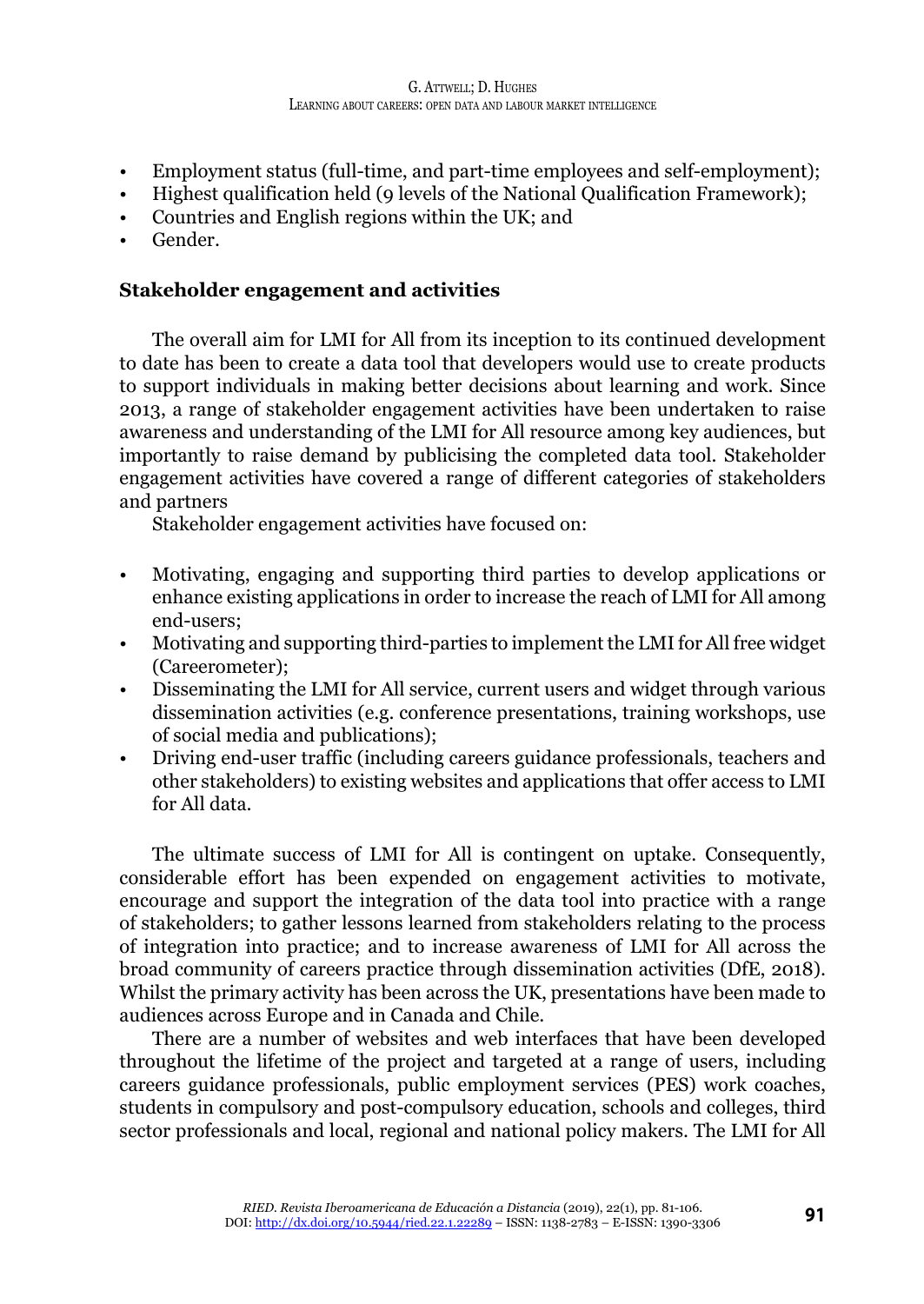- Employment status (full-time, and part-time employees and self-employment);
- Highest qualification held (9 levels of the National Qualification Framework);
- Countries and English regions within the UK; and
- Gender.

# **Stakeholder engagement and activities**

The overall aim for LMI for All from its inception to its continued development to date has been to create a data tool that developers would use to create products to support individuals in making better decisions about learning and work. Since 2013, a range of stakeholder engagement activities have been undertaken to raise awareness and understanding of the LMI for All resource among key audiences, but importantly to raise demand by publicising the completed data tool. Stakeholder engagement activities have covered a range of different categories of stakeholders and partners

Stakeholder engagement activities have focused on:

- Motivating, engaging and supporting third parties to develop applications or enhance existing applications in order to increase the reach of LMI for All among end-users;
- Motivating and supporting third-parties to implement the LMI for All free widget (Careerometer);
- Disseminating the LMI for All service, current users and widget through various dissemination activities (e.g. conference presentations, training workshops, use of social media and publications);
- Driving end-user traffic (including careers guidance professionals, teachers and other stakeholders) to existing websites and applications that offer access to LMI for All data.

The ultimate success of LMI for All is contingent on uptake. Consequently, considerable effort has been expended on engagement activities to motivate, encourage and support the integration of the data tool into practice with a range of stakeholders; to gather lessons learned from stakeholders relating to the process of integration into practice; and to increase awareness of LMI for All across the broad community of careers practice through dissemination activities (DfE, 2018). Whilst the primary activity has been across the UK, presentations have been made to audiences across Europe and in Canada and Chile.

There are a number of websites and web interfaces that have been developed throughout the lifetime of the project and targeted at a range of users, including careers guidance professionals, public employment services (PES) work coaches, students in compulsory and post-compulsory education, schools and colleges, third sector professionals and local, regional and national policy makers. The LMI for All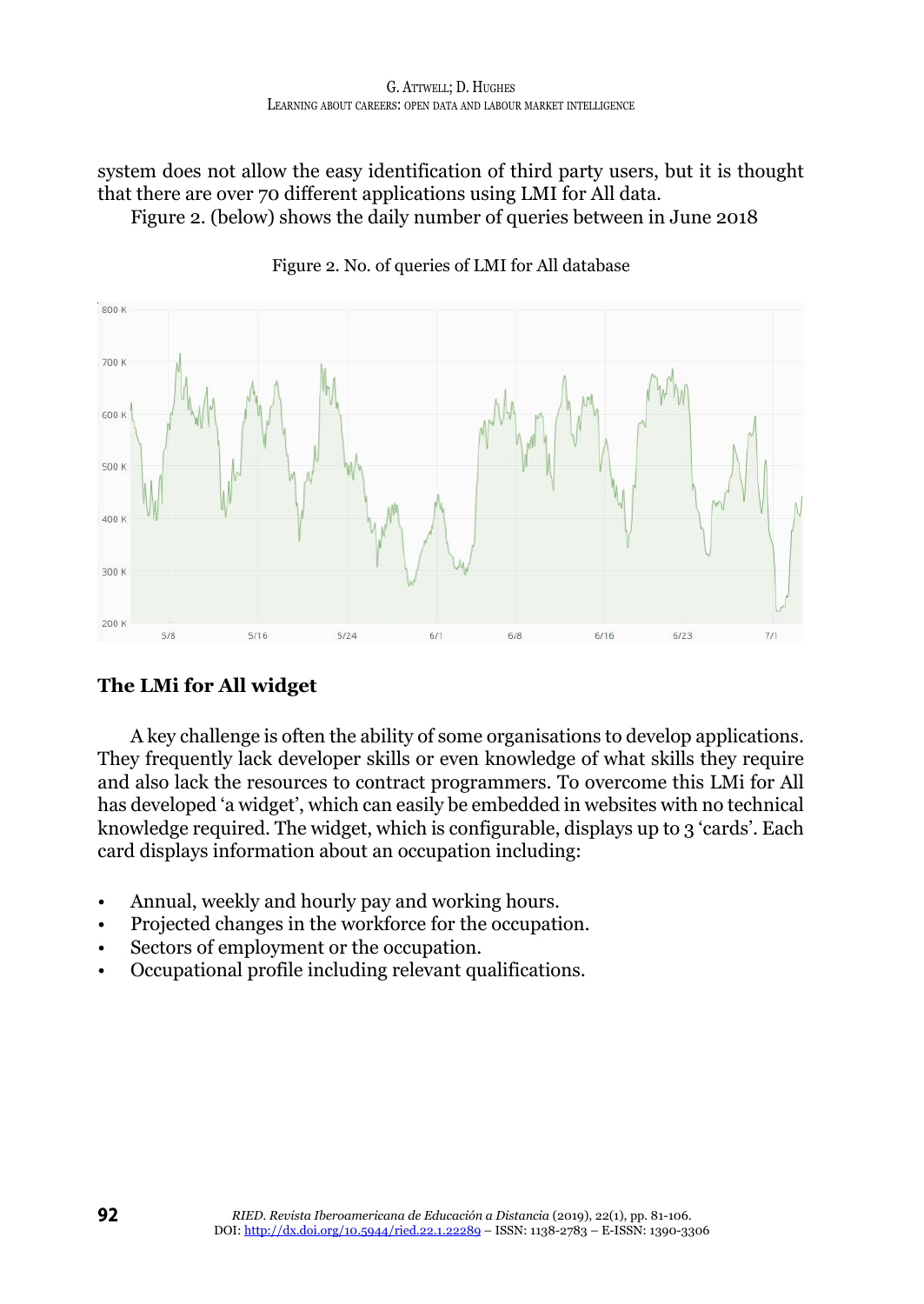system does not allow the easy identification of third party users, but it is thought that there are over 70 different applications using LMI for All data.

Figure 2. (below) shows the daily number of queries between in June 2018



Figure 2. No. of queries of LMI for All database

# **The LMi for All widget**

A key challenge is often the ability of some organisations to develop applications. They frequently lack developer skills or even knowledge of what skills they require and also lack the resources to contract programmers. To overcome this LMi for All has developed 'a widget', which can easily be embedded in websites with no technical knowledge required. The widget, which is configurable, displays up to 3 'cards'. Each card displays information about an occupation including:

- Annual, weekly and hourly pay and working hours.
- Projected changes in the workforce for the occupation.
- Sectors of employment or the occupation.
- Occupational profile including relevant qualifications.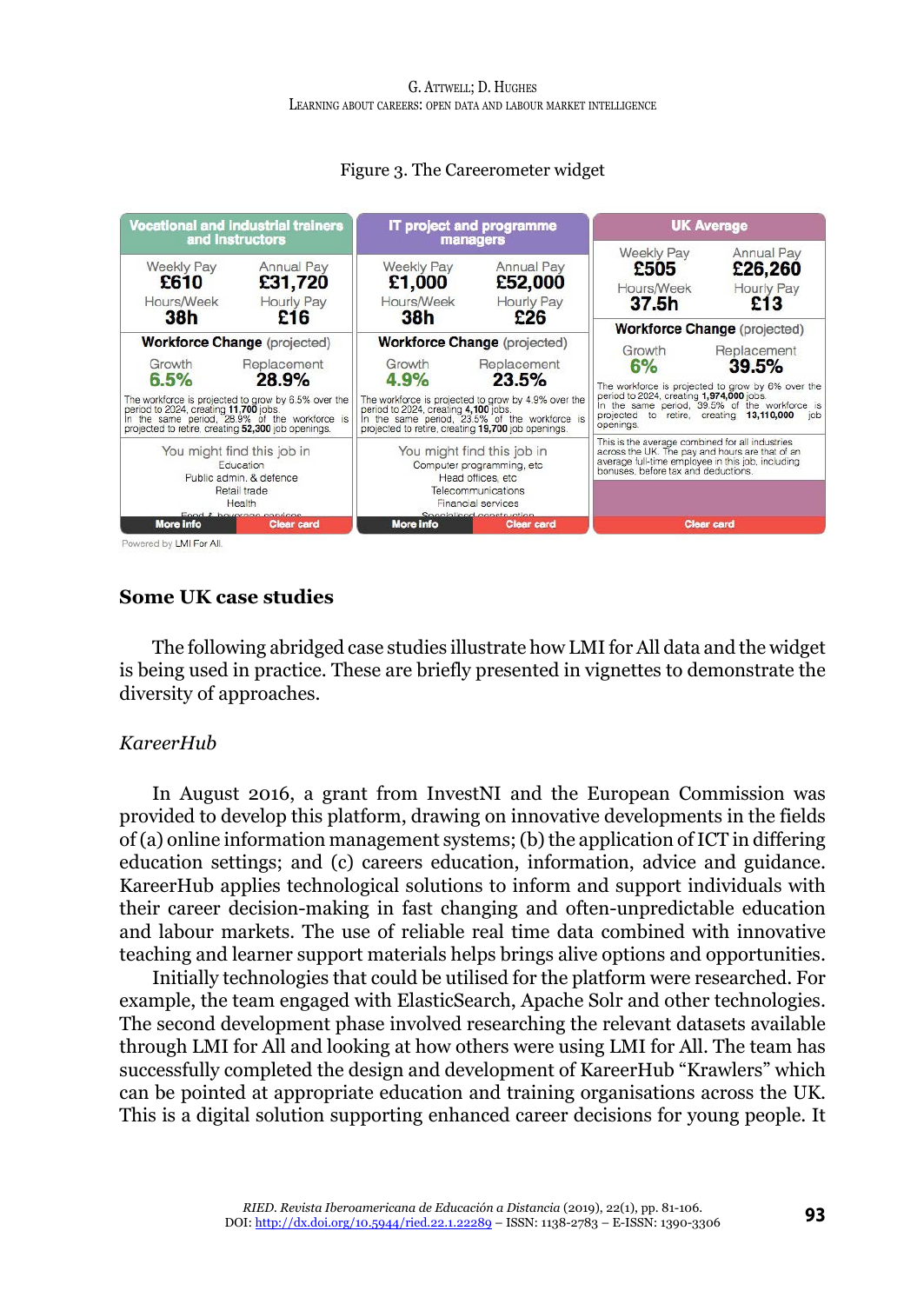

#### Figure 3. The Careerometer widget

Powered by LMI For All.

#### **Some UK case studies**

The following abridged case studies illustrate how LMI for All data and the widget is being used in practice. These are briefly presented in vignettes to demonstrate the diversity of approaches.

#### *KareerHub*

In August 2016, a grant from InvestNI and the European Commission was provided to develop this platform, drawing on innovative developments in the fields of (a) online information management systems; (b) the application of ICT in differing education settings; and (c) careers education, information, advice and guidance. KareerHub applies technological solutions to inform and support individuals with their career decision-making in fast changing and often-unpredictable education and labour markets. The use of reliable real time data combined with innovative teaching and learner support materials helps brings alive options and opportunities.

Initially technologies that could be utilised for the platform were researched. For example, the team engaged with ElasticSearch, Apache Solr and other technologies. The second development phase involved researching the relevant datasets available through LMI for All and looking at how others were using LMI for All. The team has successfully completed the design and development of KareerHub "Krawlers" which can be pointed at appropriate education and training organisations across the UK. This is a digital solution supporting enhanced career decisions for young people. It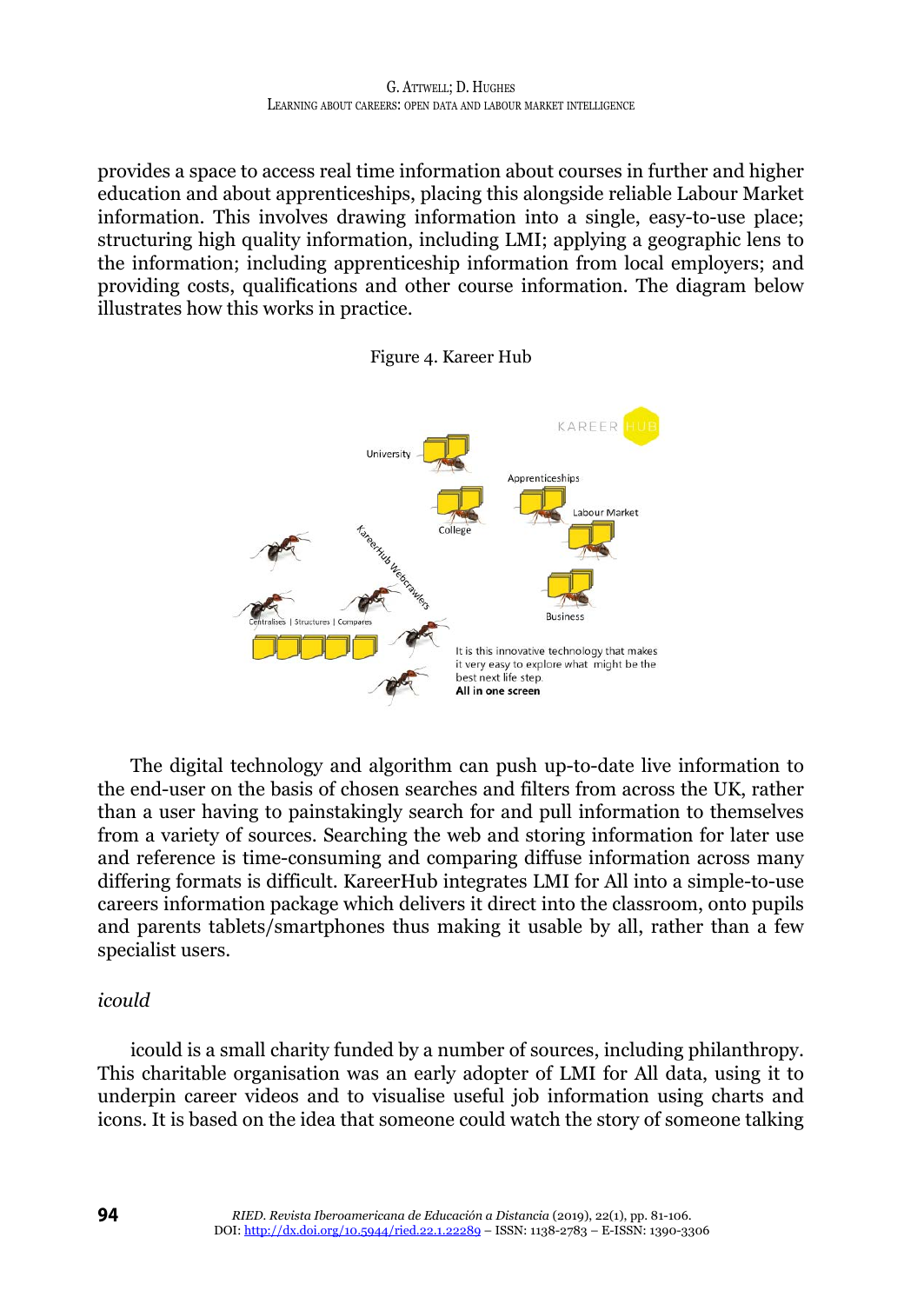provides a space to access real time information about courses in further and higher education and about apprenticeships, placing this alongside reliable Labour Market information. This involves drawing information into a single, easy-to-use place; structuring high quality information, including LMI; applying a geographic lens to the information; including apprenticeship information from local employers; and providing costs, qualifications and other course information. The diagram below illustrates how this works in practice.





The digital technology and algorithm can push up-to-date live information to the end-user on the basis of chosen searches and filters from across the UK, rather than a user having to painstakingly search for and pull information to themselves from a variety of sources. Searching the web and storing information for later use and reference is time-consuming and comparing diffuse information across many differing formats is difficult. KareerHub integrates LMI for All into a simple-to-use careers information package which delivers it direct into the classroom, onto pupils and parents tablets/smartphones thus making it usable by all, rather than a few specialist users.

#### *icould*

icould is a small charity funded by a number of sources, including philanthropy. This charitable organisation was an early adopter of LMI for All data, using it to underpin career videos and to visualise useful job information using charts and icons. It is based on the idea that someone could watch the story of someone talking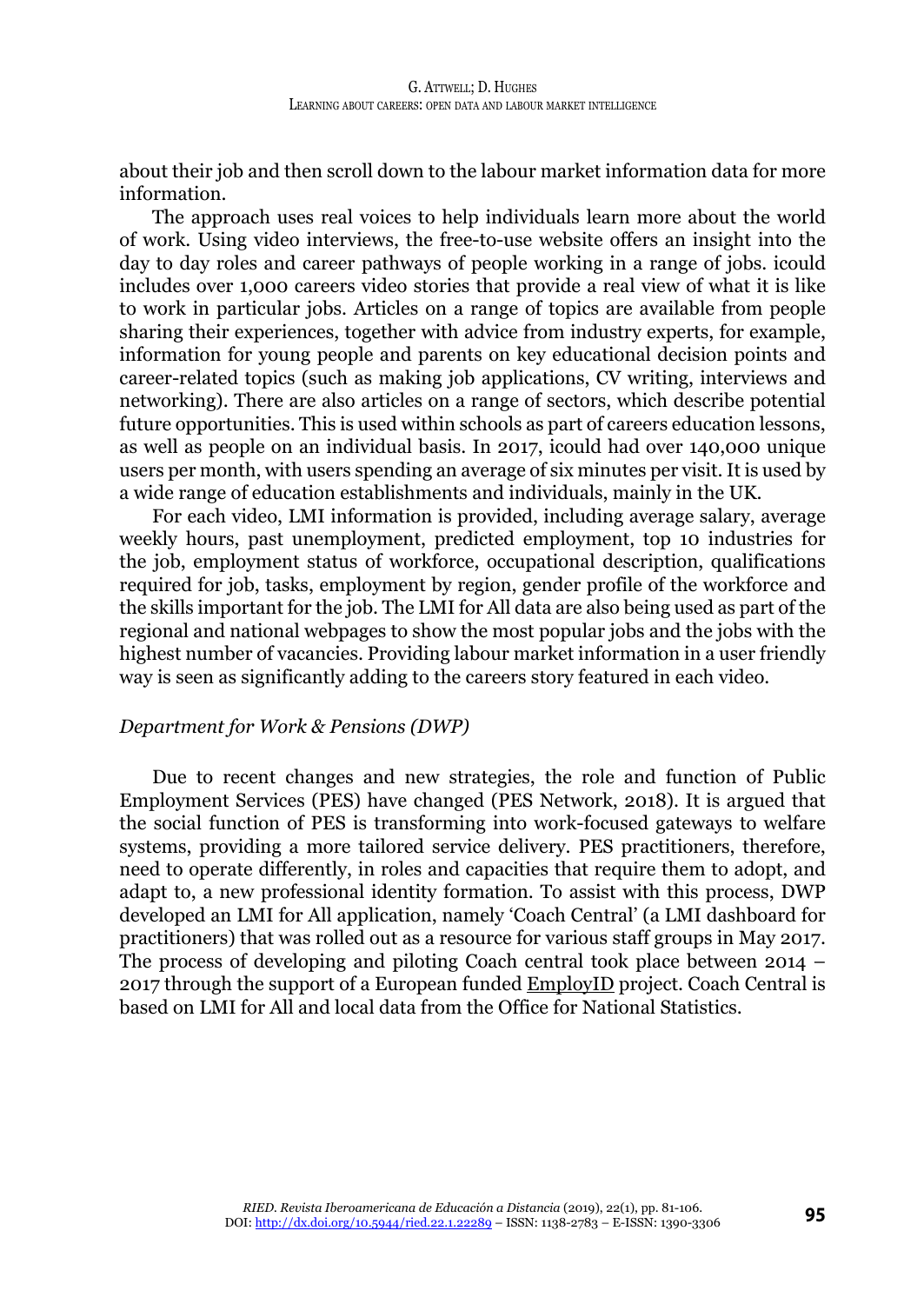about their job and then scroll down to the labour market information data for more information.

The approach uses real voices to help individuals learn more about the world of work. Using video interviews, the free-to-use website offers an insight into the day to day roles and career pathways of people working in a range of jobs. icould includes over 1,000 careers video stories that provide a real view of what it is like to work in particular jobs. Articles on a range of topics are available from people sharing their experiences, together with advice from industry experts, for example, information for young people and parents on key educational decision points and career-related topics (such as making job applications, CV writing, interviews and networking). There are also articles on a range of sectors, which describe potential future opportunities. This is used within schools as part of careers education lessons, as well as people on an individual basis. In 2017, icould had over 140,000 unique users per month, with users spending an average of six minutes per visit. It is used by a wide range of education establishments and individuals, mainly in the UK.

For each video, LMI information is provided, including average salary, average weekly hours, past unemployment, predicted employment, top 10 industries for the job, employment status of workforce, occupational description, qualifications required for job, tasks, employment by region, gender profile of the workforce and the skills important for the job. The LMI for All data are also being used as part of the regional and national webpages to show the most popular jobs and the jobs with the highest number of vacancies. Providing labour market information in a user friendly way is seen as significantly adding to the careers story featured in each video.

#### *Department for Work & Pensions (DWP)*

Due to recent changes and new strategies, the role and function of Public Employment Services (PES) have changed (PES Network, 2018). It is argued that the social function of PES is transforming into work-focused gateways to welfare systems, providing a more tailored service delivery. PES practitioners, therefore, need to operate differently, in roles and capacities that require them to adopt, and adapt to, a new professional identity formation. To assist with this process, DWP developed an LMI for All application, namely 'Coach Central' (a LMI dashboard for practitioners) that was rolled out as a resource for various staff groups in May 2017. The process of developing and piloting Coach central took place between 2014 – 2017 through the support of a European funded EmployID project. Coach Central is based on LMI for All and local data from the Office for National Statistics.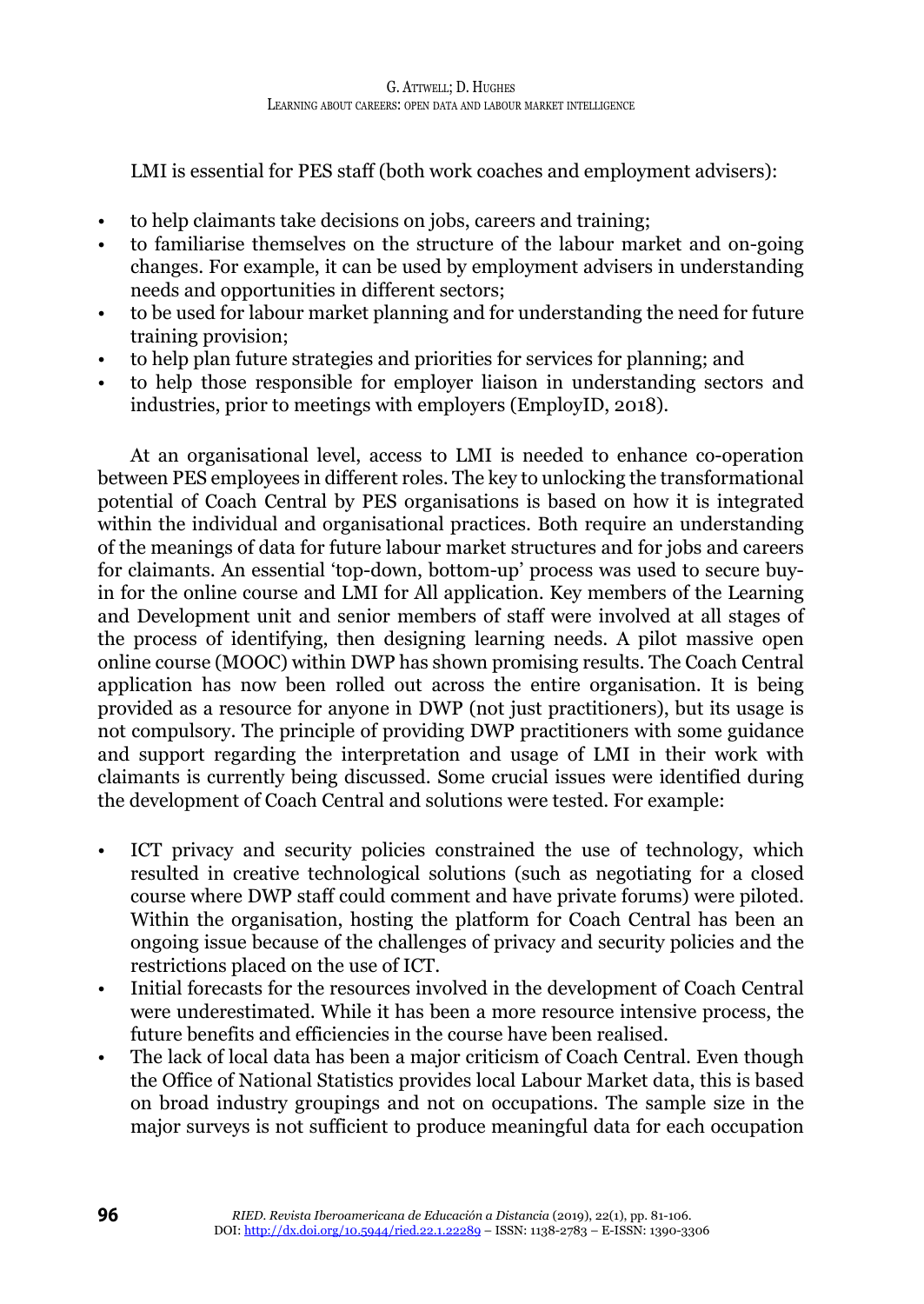LMI is essential for PES staff (both work coaches and employment advisers):

- to help claimants take decisions on jobs, careers and training;
- to familiarise themselves on the structure of the labour market and on-going changes. For example, it can be used by employment advisers in understanding needs and opportunities in different sectors;
- to be used for labour market planning and for understanding the need for future training provision;
- to help plan future strategies and priorities for services for planning; and
- to help those responsible for employer liaison in understanding sectors and industries, prior to meetings with employers (EmployID, 2018).

At an organisational level, access to LMI is needed to enhance co-operation between PES employees in different roles. The key to unlocking the transformational potential of Coach Central by PES organisations is based on how it is integrated within the individual and organisational practices. Both require an understanding of the meanings of data for future labour market structures and for jobs and careers for claimants. An essential 'top-down, bottom-up' process was used to secure buyin for the online course and LMI for All application. Key members of the Learning and Development unit and senior members of staff were involved at all stages of the process of identifying, then designing learning needs. A pilot massive open online course (MOOC) within DWP has shown promising results. The Coach Central application has now been rolled out across the entire organisation. It is being provided as a resource for anyone in DWP (not just practitioners), but its usage is not compulsory. The principle of providing DWP practitioners with some guidance and support regarding the interpretation and usage of LMI in their work with claimants is currently being discussed. Some crucial issues were identified during the development of Coach Central and solutions were tested. For example:

- ICT privacy and security policies constrained the use of technology, which resulted in creative technological solutions (such as negotiating for a closed course where DWP staff could comment and have private forums) were piloted. Within the organisation, hosting the platform for Coach Central has been an ongoing issue because of the challenges of privacy and security policies and the restrictions placed on the use of ICT.
- Initial forecasts for the resources involved in the development of Coach Central were underestimated. While it has been a more resource intensive process, the future benefits and efficiencies in the course have been realised.
- The lack of local data has been a major criticism of Coach Central. Even though the Office of National Statistics provides local Labour Market data, this is based on broad industry groupings and not on occupations. The sample size in the major surveys is not sufficient to produce meaningful data for each occupation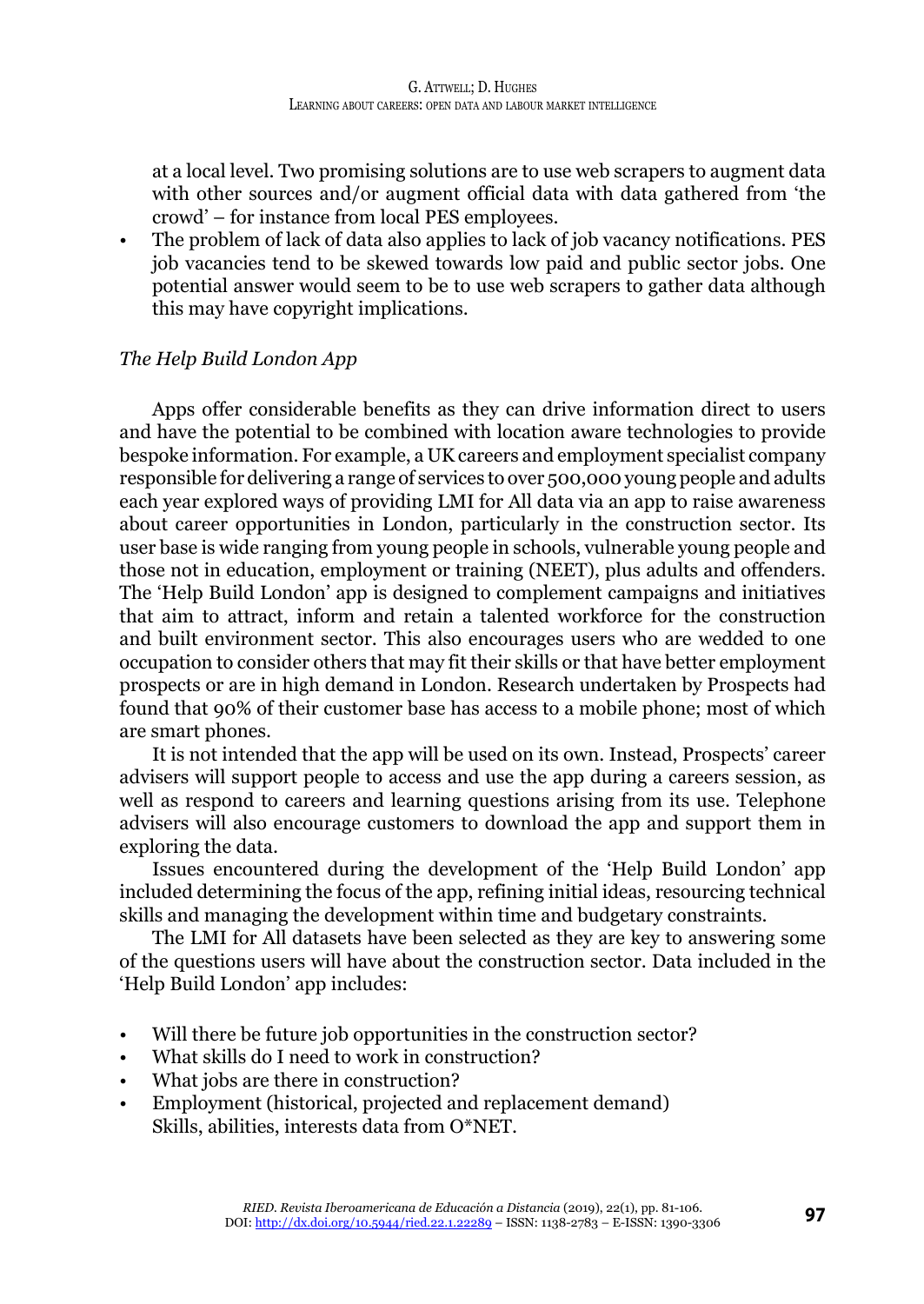at a local level. Two promising solutions are to use web scrapers to augment data with other sources and/or augment official data with data gathered from 'the crowd' – for instance from local PES employees.

• The problem of lack of data also applies to lack of job vacancy notifications. PES job vacancies tend to be skewed towards low paid and public sector jobs. One potential answer would seem to be to use web scrapers to gather data although this may have copyright implications.

# *The Help Build London App*

Apps offer considerable benefits as they can drive information direct to users and have the potential to be combined with location aware technologies to provide bespoke information. For example, a UK careers and employment specialist company responsible for delivering a range of services to over 500,000 young people and adults each year explored ways of providing LMI for All data via an app to raise awareness about career opportunities in London, particularly in the construction sector. Its user base is wide ranging from young people in schools, vulnerable young people and those not in education, employment or training (NEET), plus adults and offenders. The 'Help Build London' app is designed to complement campaigns and initiatives that aim to attract, inform and retain a talented workforce for the construction and built environment sector. This also encourages users who are wedded to one occupation to consider others that may fit their skills or that have better employment prospects or are in high demand in London. Research undertaken by Prospects had found that 90% of their customer base has access to a mobile phone; most of which are smart phones.

It is not intended that the app will be used on its own. Instead, Prospects' career advisers will support people to access and use the app during a careers session, as well as respond to careers and learning questions arising from its use. Telephone advisers will also encourage customers to download the app and support them in exploring the data.

Issues encountered during the development of the 'Help Build London' app included determining the focus of the app, refining initial ideas, resourcing technical skills and managing the development within time and budgetary constraints.

The LMI for All datasets have been selected as they are key to answering some of the questions users will have about the construction sector. Data included in the 'Help Build London' app includes:

- Will there be future job opportunities in the construction sector?
- What skills do I need to work in construction?
- What jobs are there in construction?
- Employment (historical, projected and replacement demand) Skills, abilities, interests data from O\*NET.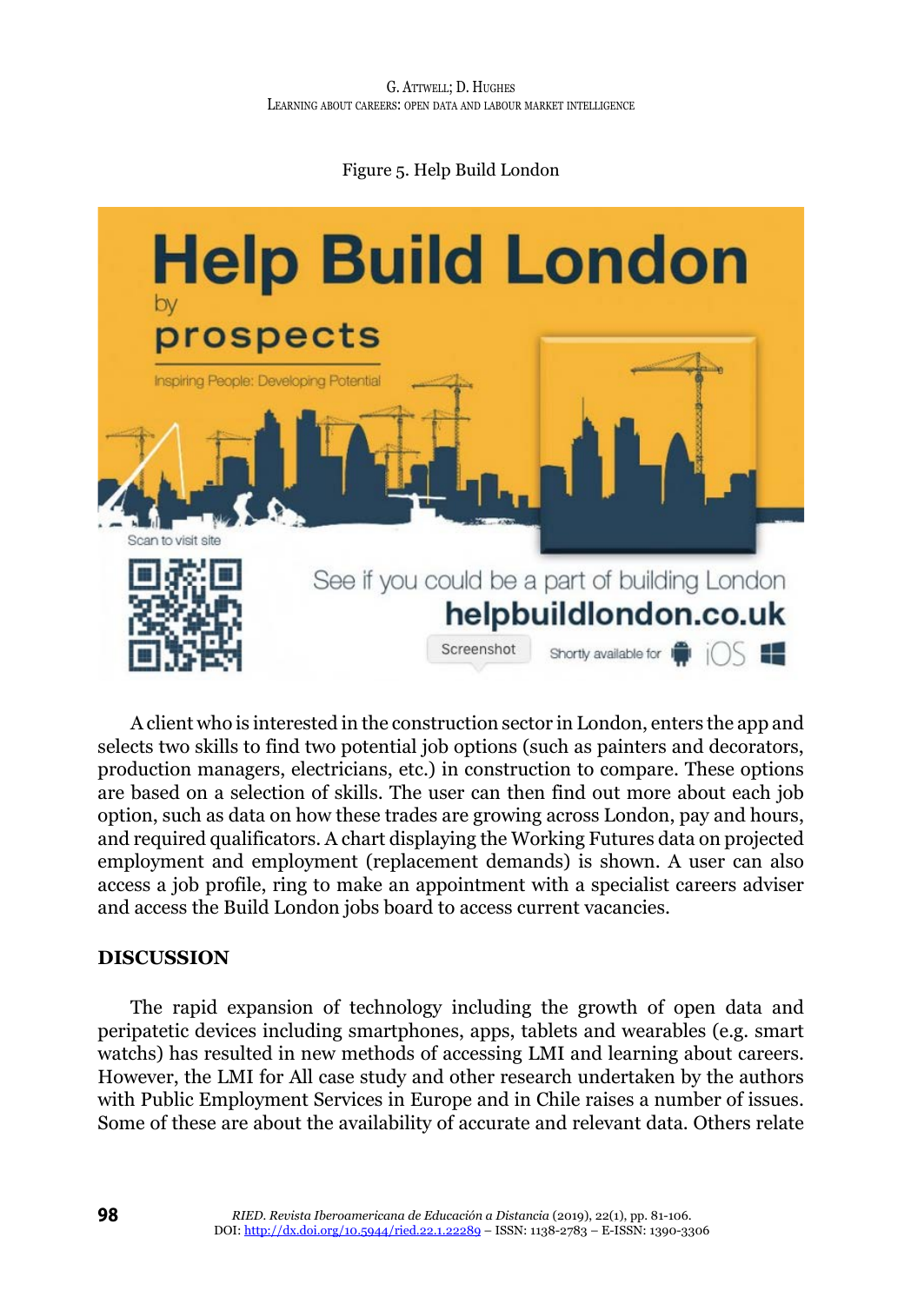# Figure 5. Help Build London



A client who is interested in the construction sector in London, enters the app and selects two skills to find two potential job options (such as painters and decorators, production managers, electricians, etc.) in construction to compare. These options are based on a selection of skills. The user can then find out more about each job option, such as data on how these trades are growing across London, pay and hours, and required qualificators. A chart displaying the Working Futures data on projected employment and employment (replacement demands) is shown. A user can also access a job profile, ring to make an appointment with a specialist careers adviser and access the Build London jobs board to access current vacancies.

#### **DISCUSSION**

The rapid expansion of technology including the growth of open data and peripatetic devices including smartphones, apps, tablets and wearables (e.g. smart watchs) has resulted in new methods of accessing LMI and learning about careers. However, the LMI for All case study and other research undertaken by the authors with Public Employment Services in Europe and in Chile raises a number of issues. Some of these are about the availability of accurate and relevant data. Others relate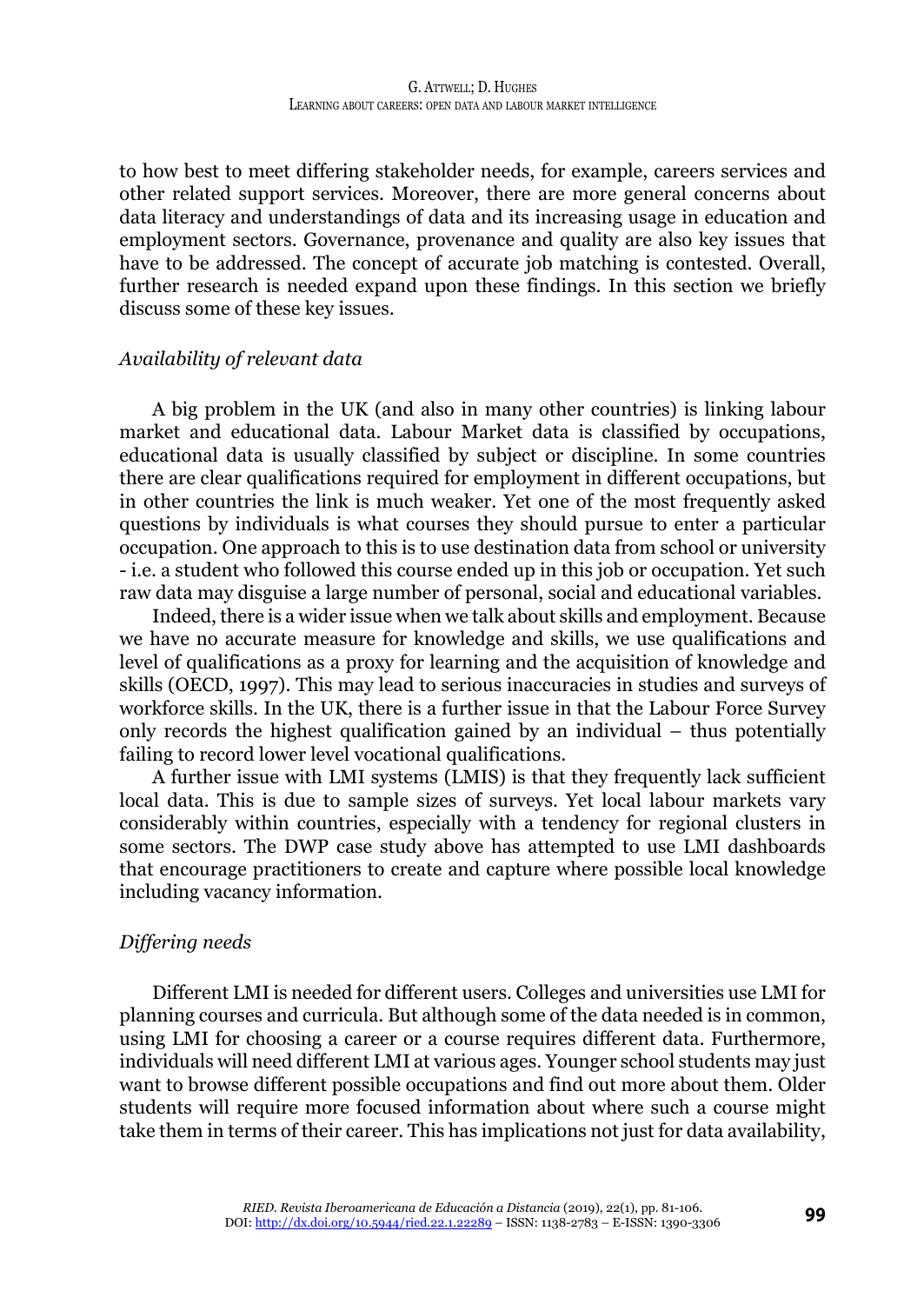to how best to meet differing stakeholder needs, for example, careers services and other related support services. Moreover, there are more general concerns about data literacy and understandings of data and its increasing usage in education and employment sectors. Governance, provenance and quality are also key issues that have to be addressed. The concept of accurate job matching is contested. Overall, further research is needed expand upon these findings. In this section we briefly discuss some of these key issues.

#### *Availability of relevant data*

A big problem in the UK (and also in many other countries) is linking labour market and educational data. Labour Market data is classified by occupations, educational data is usually classified by subject or discipline. In some countries there are clear qualifications required for employment in different occupations, but in other countries the link is much weaker. Yet one of the most frequently asked questions by individuals is what courses they should pursue to enter a particular occupation. One approach to this is to use destination data from school or university - i.e. a student who followed this course ended up in this job or occupation. Yet such raw data may disguise a large number of personal, social and educational variables.

Indeed, there is a wider issue when we talk about skills and employment. Because we have no accurate measure for knowledge and skills, we use qualifications and level of qualifications as a proxy for learning and the acquisition of knowledge and skills (OECD, 1997). This may lead to serious inaccuracies in studies and surveys of workforce skills. In the UK, there is a further issue in that the Labour Force Survey only records the highest qualification gained by an individual – thus potentially failing to record lower level vocational qualifications.

A further issue with LMI systems (LMIS) is that they frequently lack sufficient local data. This is due to sample sizes of surveys. Yet local labour markets vary considerably within countries, especially with a tendency for regional clusters in some sectors. The DWP case study above has attempted to use LMI dashboards that encourage practitioners to create and capture where possible local knowledge including vacancy information.

#### *Differing needs*

Different LMI is needed for different users. Colleges and universities use LMI for planning courses and curricula. But although some of the data needed is in common, using LMI for choosing a career or a course requires different data. Furthermore, individuals will need different LMI at various ages. Younger school students may just want to browse different possible occupations and find out more about them. Older students will require more focused information about where such a course might take them in terms of their career. This has implications not just for data availability,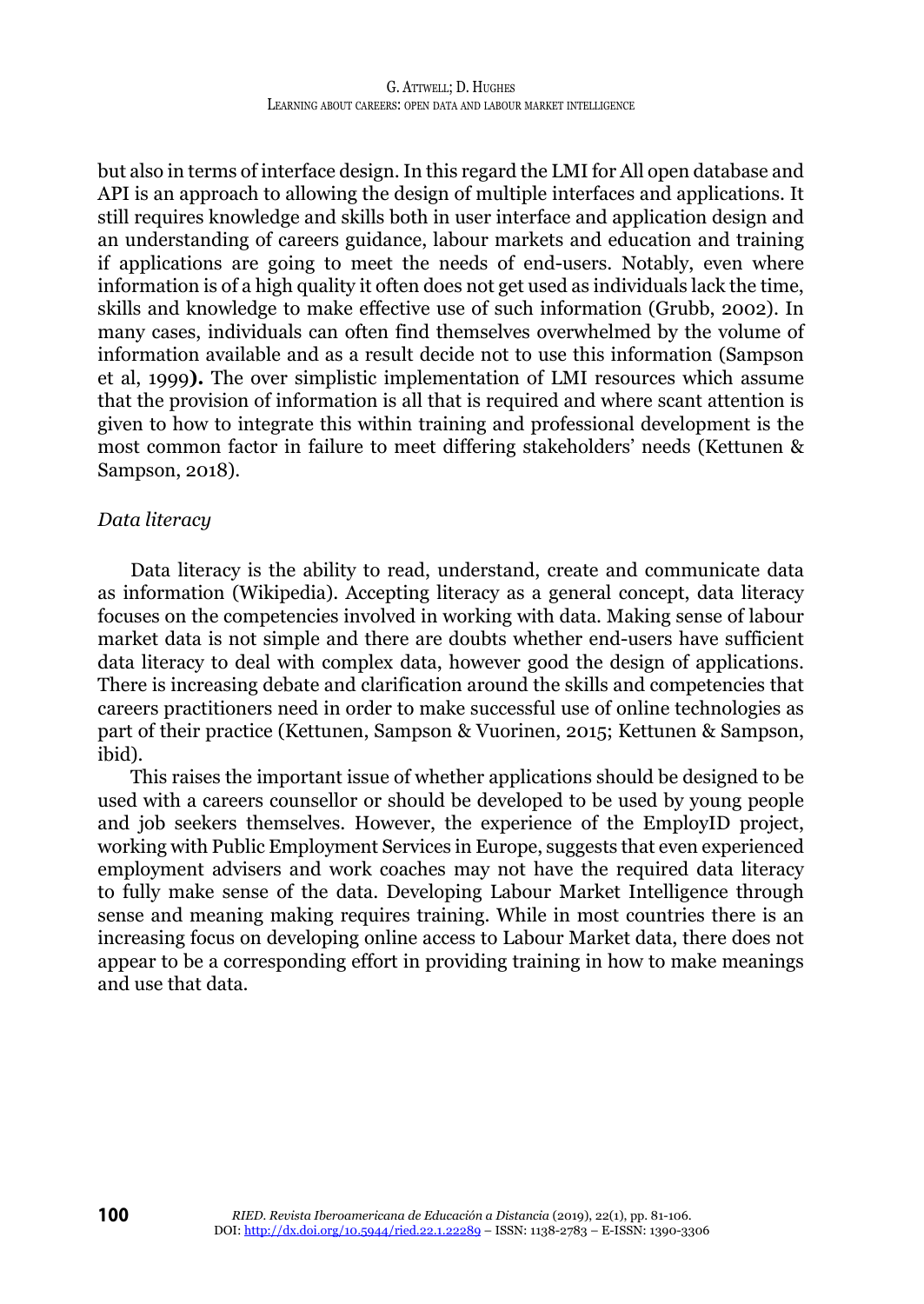but also in terms of interface design. In this regard the LMI for All open database and API is an approach to allowing the design of multiple interfaces and applications. It still requires knowledge and skills both in user interface and application design and an understanding of careers guidance, labour markets and education and training if applications are going to meet the needs of end-users. Notably, even where information is of a high quality it often does not get used as individuals lack the time, skills and knowledge to make effective use of such information (Grubb, 2002). In many cases, individuals can often find themselves overwhelmed by the volume of information available and as a result decide not to use this information (Sampson et al, 1999**).** The over simplistic implementation of LMI resources which assume that the provision of information is all that is required and where scant attention is given to how to integrate this within training and professional development is the most common factor in failure to meet differing stakeholders' needs (Kettunen & Sampson, 2018).

#### *Data literacy*

Data literacy is the ability to read, understand, create and communicate data as information (Wikipedia). Accepting literacy as a general concept, data literacy focuses on the competencies involved in working with data. Making sense of labour market data is not simple and there are doubts whether end-users have sufficient data literacy to deal with complex data, however good the design of applications. There is increasing debate and clarification around the skills and competencies that careers practitioners need in order to make successful use of online technologies as part of their practice (Kettunen, Sampson & Vuorinen, 2015; Kettunen & Sampson, ibid).

This raises the important issue of whether applications should be designed to be used with a careers counsellor or should be developed to be used by young people and job seekers themselves. However, the experience of the EmployID project, working with Public Employment Services in Europe, suggests that even experienced employment advisers and work coaches may not have the required data literacy to fully make sense of the data. Developing Labour Market Intelligence through sense and meaning making requires training. While in most countries there is an increasing focus on developing online access to Labour Market data, there does not appear to be a corresponding effort in providing training in how to make meanings and use that data.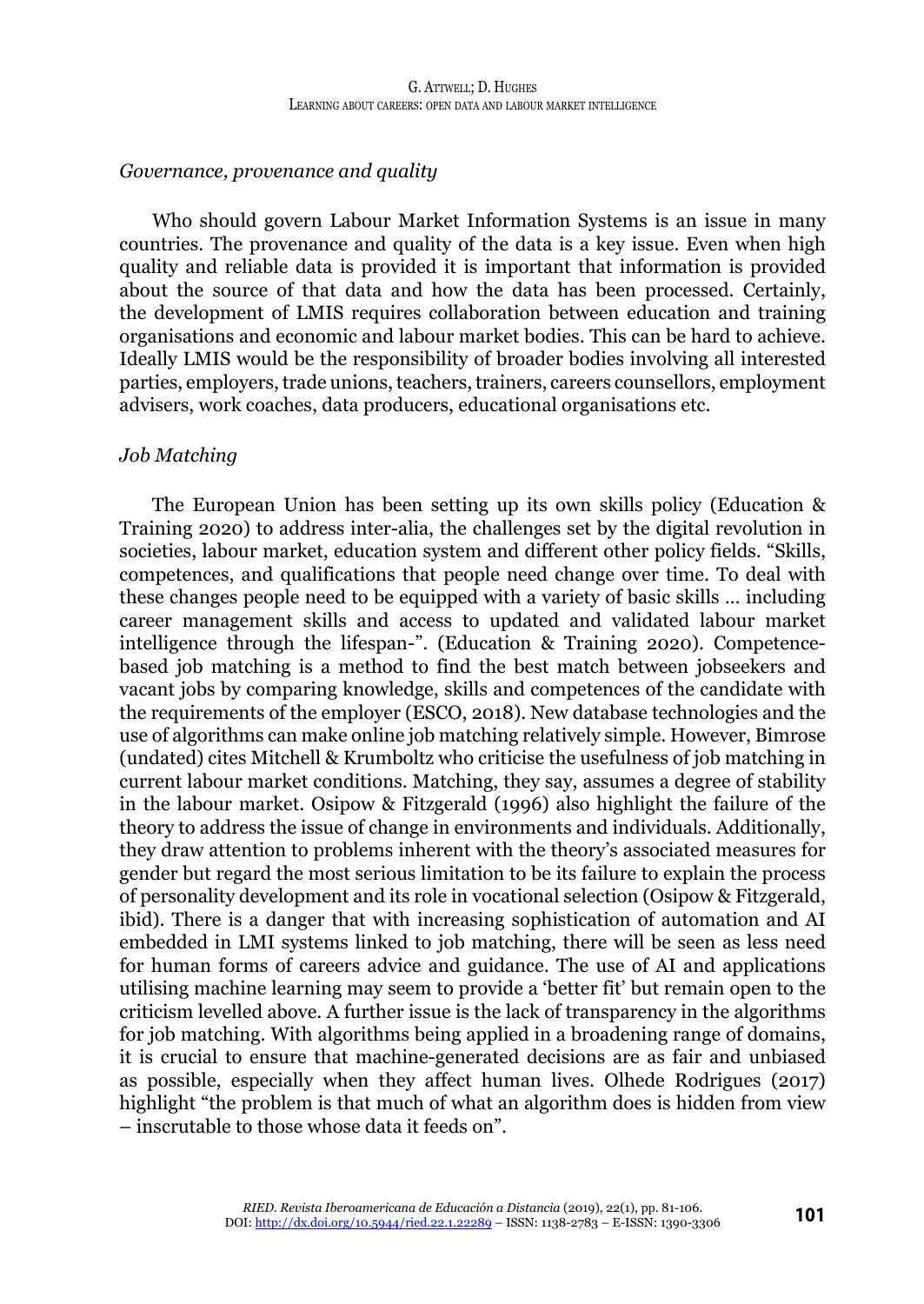# *Governance, provenance and quality*

Who should govern Labour Market Information Systems is an issue in many countries. The provenance and quality of the data is a key issue. Even when high quality and reliable data is provided it is important that information is provided about the source of that data and how the data has been processed. Certainly, the development of LMIS requires collaboration between education and training organisations and economic and labour market bodies. This can be hard to achieve. Ideally LMIS would be the responsibility of broader bodies involving all interested parties, employers, trade unions, teachers, trainers, careers counsellors, employment advisers, work coaches, data producers, educational organisations etc.

#### *Job Matching*

The European Union has been setting up its own skills policy (Education & Training 2020) to address inter-alia, the challenges set by the digital revolution in societies, labour market, education system and different other policy fields. "Skills, competences, and qualifications that people need change over time. To deal with these changes people need to be equipped with a variety of basic skills … including career management skills and access to updated and validated labour market intelligence through the lifespan-". (Education & Training 2020). Competencebased job matching is a method to find the best match between jobseekers and vacant jobs by comparing knowledge, skills and competences of the candidate with the requirements of the employer (ESCO, 2018). New database technologies and the use of algorithms can make online job matching relatively simple. However, Bimrose (undated) cites Mitchell & Krumboltz who criticise the usefulness of job matching in current labour market conditions. Matching, they say, assumes a degree of stability in the labour market. Osipow & Fitzgerald (1996) also highlight the failure of the theory to address the issue of change in environments and individuals. Additionally, they draw attention to problems inherent with the theory's associated measures for gender but regard the most serious limitation to be its failure to explain the process of personality development and its role in vocational selection (Osipow & Fitzgerald, ibid). There is a danger that with increasing sophistication of automation and AI embedded in LMI systems linked to job matching, there will be seen as less need for human forms of careers advice and guidance. The use of AI and applications utilising machine learning may seem to provide a 'better fit' but remain open to the criticism levelled above. A further issue is the lack of transparency in the algorithms for job matching. With algorithms being applied in a broadening range of domains, it is crucial to ensure that machine-generated decisions are as fair and unbiased as possible, especially when they affect human lives. Olhede Rodrigues (2017) highlight "the problem is that much of what an algorithm does is hidden from view – inscrutable to those whose data it feeds on".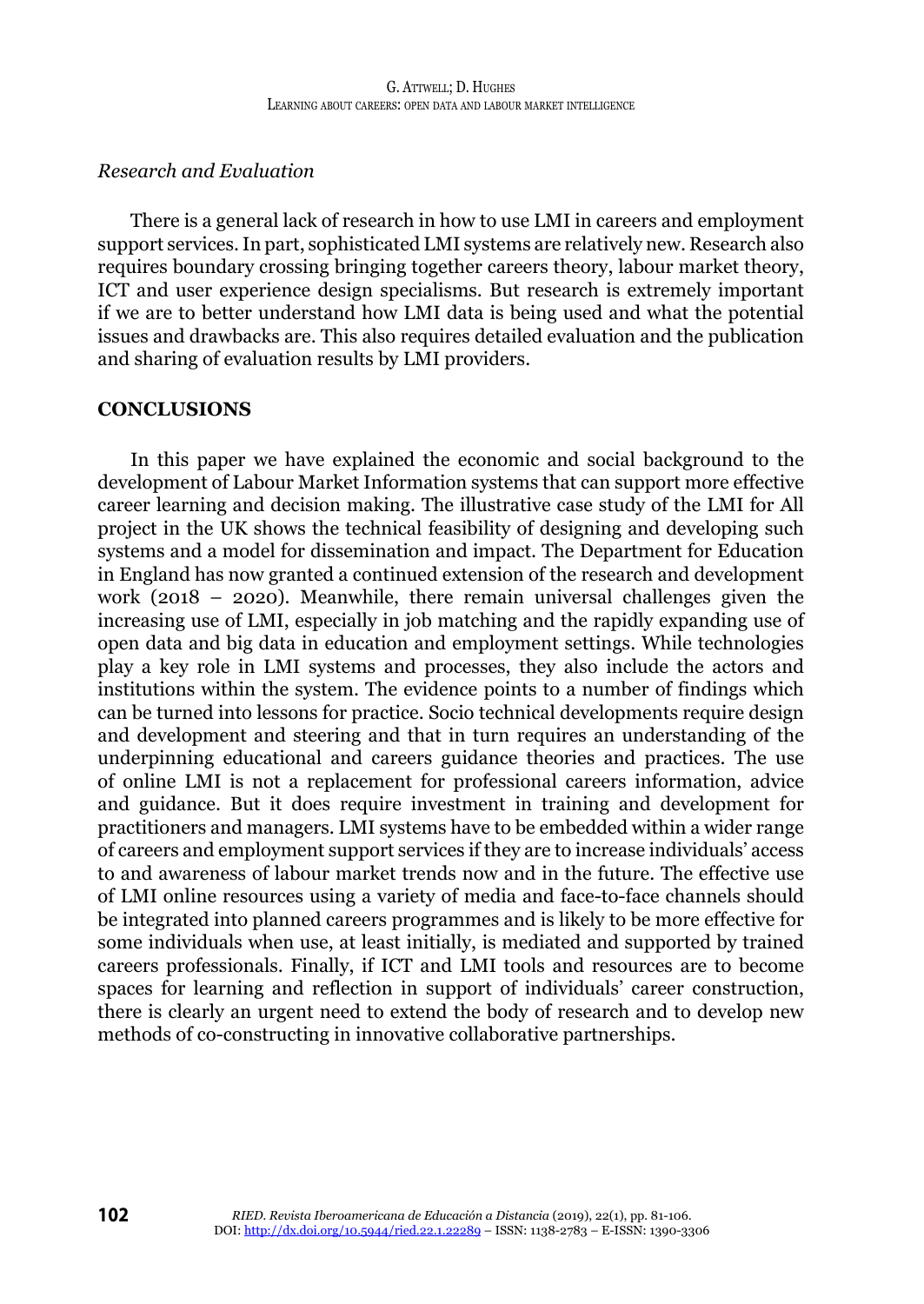# *Research and Evaluation*

There is a general lack of research in how to use LMI in careers and employment support services. In part, sophisticated LMI systems are relatively new. Research also requires boundary crossing bringing together careers theory, labour market theory, ICT and user experience design specialisms. But research is extremely important if we are to better understand how LMI data is being used and what the potential issues and drawbacks are. This also requires detailed evaluation and the publication and sharing of evaluation results by LMI providers.

#### **CONCLUSIONS**

In this paper we have explained the economic and social background to the development of Labour Market Information systems that can support more effective career learning and decision making. The illustrative case study of the LMI for All project in the UK shows the technical feasibility of designing and developing such systems and a model for dissemination and impact. The Department for Education in England has now granted a continued extension of the research and development work (2018 – 2020). Meanwhile, there remain universal challenges given the increasing use of LMI, especially in job matching and the rapidly expanding use of open data and big data in education and employment settings. While technologies play a key role in LMI systems and processes, they also include the actors and institutions within the system. The evidence points to a number of findings which can be turned into lessons for practice. Socio technical developments require design and development and steering and that in turn requires an understanding of the underpinning educational and careers guidance theories and practices. The use of online LMI is not a replacement for professional careers information, advice and guidance. But it does require investment in training and development for practitioners and managers. LMI systems have to be embedded within a wider range of careers and employment support services if they are to increase individuals' access to and awareness of labour market trends now and in the future. The effective use of LMI online resources using a variety of media and face-to-face channels should be integrated into planned careers programmes and is likely to be more effective for some individuals when use, at least initially, is mediated and supported by trained careers professionals. Finally, if ICT and LMI tools and resources are to become spaces for learning and reflection in support of individuals' career construction, there is clearly an urgent need to extend the body of research and to develop new methods of co-constructing in innovative collaborative partnerships.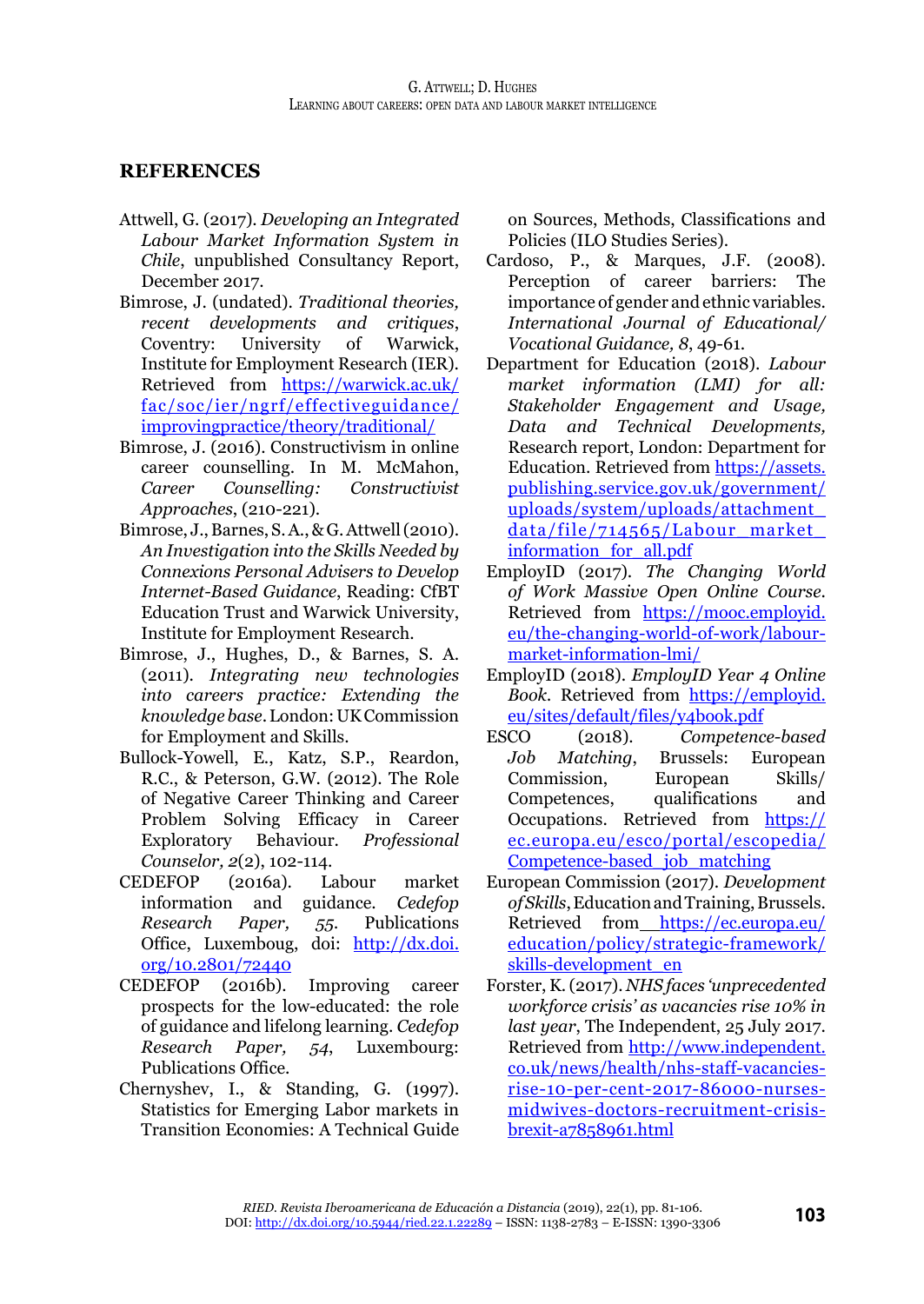# **REFERENCES**

- Attwell, G. (2017). *Developing an Integrated Labour Market Information System in Chile*, unpublished Consultancy Report, December 2017.
- Bimrose, J. (undated). *Traditional theories, recent developments and critiques*, Coventry: University of Warwick, Institute for Employment Research (IER). Retrieved from [https://warwick.ac.uk/](https://warwick.ac.uk/fac/soc/ier/ngrf/effectiveguidance/improvingpractice/theory/traditional/) [fac/soc/ier/ngrf/effectiveguidance/](https://warwick.ac.uk/fac/soc/ier/ngrf/effectiveguidance/improvingpractice/theory/traditional/) [improvingpractice/theory/traditional/](https://warwick.ac.uk/fac/soc/ier/ngrf/effectiveguidance/improvingpractice/theory/traditional/)
- Bimrose, J. (2016). Constructivism in online career counselling. In M. McMahon, *Career Counselling: Constructivist Approaches*, (210-221).
- Bimrose, J., Barnes, S. A., & G. Attwell (2010). *An Investigation into the Skills Needed by Connexions Personal Advisers to Develop Internet-Based Guidance*, Reading: CfBT Education Trust and Warwick University, Institute for Employment Research.
- Bimrose, J., Hughes, D., & Barnes, S. A. (2011). *Integrating new technologies into careers practice: Extending the knowledge base*. London: UK Commission for Employment and Skills.
- Bullock-Yowell, E., Katz, S.P., Reardon, R.C., & Peterson, G.W. (2012). The Role of Negative Career Thinking and Career Problem Solving Efficacy in Career Exploratory Behaviour. *Professional Counselor, 2*(2), 102-114.
- CEDEFOP (2016a). Labour market information and guidance. *Cedefop Research Paper, 55.* Publications Office, Luxemboug, doi: [http://dx.doi.](http://dx.doi.org/10.2801/72440) [org/10.2801/72440](http://dx.doi.org/10.2801/72440)
- CEDEFOP (2016b). Improving career prospects for the low-educated: the role of guidance and lifelong learning. *Cedefop Research Paper, 54*, Luxembourg: Publications Office.
- Chernyshev, I., & Standing, G. (1997). Statistics for Emerging Labor markets in Transition Economies: A Technical Guide

on Sources, Methods, Classifications and Policies (ILO Studies Series).

- Cardoso, P., & Marques, J.F. (2008). Perception of career barriers: The importance of gender and ethnic variables. *International Journal of Educational/ Vocational Guidance, 8*, 49-61.
- Department for Education (2018). *Labour market information (LMI) for all: Stakeholder Engagement and Usage, Data and Technical Developments,* Research report, London: Department for Education. Retrieved from [https://assets.](https://assets.publishing.service.gov.uk/government/uploads/system/uploads/attachment_data/file/714565/Labour_market_information_for_all.pdf) [publishing.service.gov.uk/government/](https://assets.publishing.service.gov.uk/government/uploads/system/uploads/attachment_data/file/714565/Labour_market_information_for_all.pdf) [uploads/system/uploads/attachment\\_](https://assets.publishing.service.gov.uk/government/uploads/system/uploads/attachment_data/file/714565/Labour_market_information_for_all.pdf) [data/file/714565/Labour\\_market\\_](https://assets.publishing.service.gov.uk/government/uploads/system/uploads/attachment_data/file/714565/Labour_market_information_for_all.pdf) [information\\_for\\_all.pdf](https://assets.publishing.service.gov.uk/government/uploads/system/uploads/attachment_data/file/714565/Labour_market_information_for_all.pdf)
- EmployID (2017). *The Changing World of Work Massive Open Online Course*. Retrieved from [https://mooc.employid.](https://mooc.employid.eu/the-changing-world-of-work/labour-market-information-lmi/) [eu/the-changing-world-of-work/labour](https://mooc.employid.eu/the-changing-world-of-work/labour-market-information-lmi/)[market-information-lmi/](https://mooc.employid.eu/the-changing-world-of-work/labour-market-information-lmi/)
- EmployID (2018). *EmployID Year 4 Online Book.* Retrieved from [https://employid.](https://employid.eu/sites/default/files/y4book.pdf) [eu/sites/default/files/y4book.pdf](https://employid.eu/sites/default/files/y4book.pdf)
- ESCO (2018). *Competence-based Job Matching*, Brussels: European Commission, European Skills/ Competences, qualifications and Occupations. Retrieved from [https://](https://ec.europa.eu/esco/portal/escopedia/Competence-based_job_matching) [ec.europa.eu/esco/portal/escopedia/](https://ec.europa.eu/esco/portal/escopedia/Competence-based_job_matching) [Competence-based\\_job\\_matching](https://ec.europa.eu/esco/portal/escopedia/Competence-based_job_matching)
- European Commission (2017). *Development of Skills*, Education and Training, Brussels. Retrieved from [https://ec.europa.eu/](https://ec.europa.eu/education/policy/strategic-framework/skills-development_en) [education/policy/strategic-framework/](https://ec.europa.eu/education/policy/strategic-framework/skills-development_en) [skills-development\\_en](https://ec.europa.eu/education/policy/strategic-framework/skills-development_en)
- Forster, K. (2017). *NHS faces 'unprecedented workforce crisis' as vacancies rise 10% in last year*, The Independent, 25 July 2017. Retrieved from [http://www.independent.](http://www.independent.co.uk/news/health/nhs-staff-vacancies-rise-10-per-cent-2017-86000-nurses-midwives-doctors-recruitment-crisis-brexit-a7858961.html) [co.uk/news/health/nhs-staff-vacancies](http://www.independent.co.uk/news/health/nhs-staff-vacancies-rise-10-per-cent-2017-86000-nurses-midwives-doctors-recruitment-crisis-brexit-a7858961.html)[rise-10-per-cent-2017-86000-nurses](http://www.independent.co.uk/news/health/nhs-staff-vacancies-rise-10-per-cent-2017-86000-nurses-midwives-doctors-recruitment-crisis-brexit-a7858961.html)[midwives-doctors-recruitment-crisis](http://www.independent.co.uk/news/health/nhs-staff-vacancies-rise-10-per-cent-2017-86000-nurses-midwives-doctors-recruitment-crisis-brexit-a7858961.html)[brexit-a7858961.html](http://www.independent.co.uk/news/health/nhs-staff-vacancies-rise-10-per-cent-2017-86000-nurses-midwives-doctors-recruitment-crisis-brexit-a7858961.html)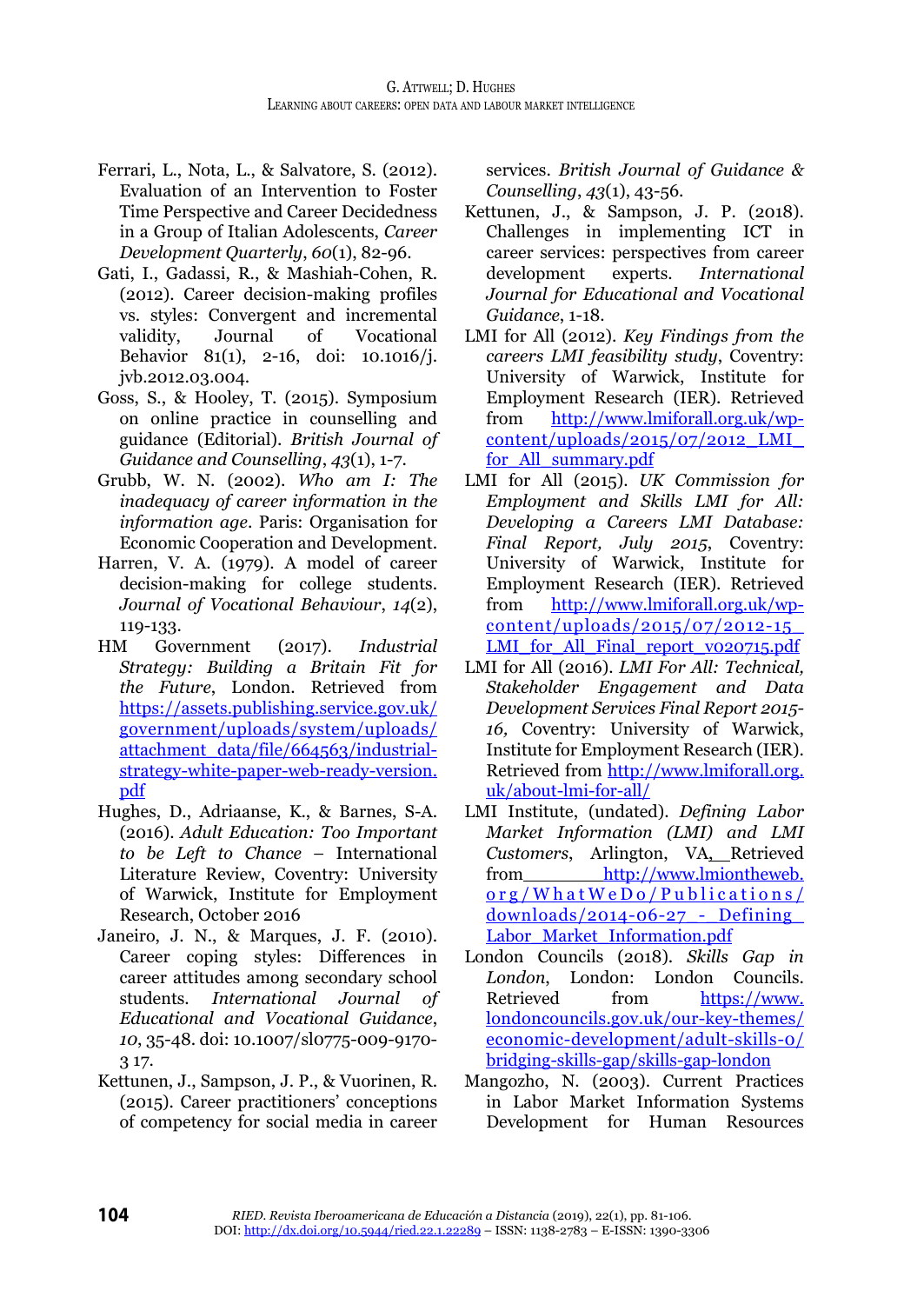- Ferrari, L., Nota, L., & Salvatore, S. (2012). Evaluation of an Intervention to Foster Time Perspective and Career Decidedness in a Group of Italian Adolescents, *Career Development Quarterly*, *60*(1), 82-96.
- Gati, I., Gadassi, R., & Mashiah-Cohen, R. (2012). Career decision-making profiles vs. styles: Convergent and incremental validity, Journal of Vocational Behavior 81(1), 2-16, doi: 10.1016/j. jvb.2012.03.004.
- Goss, S., & Hooley, T. (2015). Symposium on online practice in counselling and guidance (Editorial). *British Journal of Guidance and Counselling*, *43*(1), 1-7.
- Grubb, W. N. (2002). *Who am I: The inadequacy of career information in the information age*. Paris: Organisation for Economic Cooperation and Development.
- Harren, V. A. (1979). A model of career decision-making for college students. *Journal of Vocational Behaviour*, *14*(2), 119-133.
- HM Government (2017). *Industrial Strategy: Building a Britain Fit for the Future*, London. Retrieved from [https://assets.publishing.service.gov.uk/](https://assets.publishing.service.gov.uk/government/uploads/system/uploads/attachment_data/file/664563/industrial-strategy-white-paper-web-ready-version.pdf) [government/uploads/system/uploads/](https://assets.publishing.service.gov.uk/government/uploads/system/uploads/attachment_data/file/664563/industrial-strategy-white-paper-web-ready-version.pdf) [attachment\\_data/file/664563/industrial](https://assets.publishing.service.gov.uk/government/uploads/system/uploads/attachment_data/file/664563/industrial-strategy-white-paper-web-ready-version.pdf)[strategy-white-paper-web-ready-version.](https://assets.publishing.service.gov.uk/government/uploads/system/uploads/attachment_data/file/664563/industrial-strategy-white-paper-web-ready-version.pdf) [pdf](https://assets.publishing.service.gov.uk/government/uploads/system/uploads/attachment_data/file/664563/industrial-strategy-white-paper-web-ready-version.pdf)
- Hughes, D., Adriaanse, K., & Barnes, S-A. (2016). *Adult Education: Too Important to be Left to Chance* – International Literature Review, Coventry: University of Warwick, Institute for Employment Research, October 2016
- Janeiro, J. N., & Marques, J. F. (2010). Career coping styles: Differences in career attitudes among secondary school students. *International Journal of Educational and Vocational Guidance*, *10*, 35-48. doi: 10.1007/sl0775-009-9170- 3 17.
- Kettunen, J., Sampson, J. P., & Vuorinen, R. (2015). Career practitioners' conceptions of competency for social media in career

services. *British Journal of Guidance & Counselling*, *43*(1), 43-56.

- Kettunen, J., & Sampson, J. P. (2018). Challenges in implementing ICT in career services: perspectives from career development experts. *International Journal for Educational and Vocational Guidance*, 1-18.
- LMI for All (2012). *Key Findings from the careers LMI feasibility study*, Coventry: University of Warwick, Institute for Employment Research (IER). Retrieved from [http://www.lmiforall.org.uk/wp](http://www.lmiforall.org.uk/wp-content/uploads/2015/07/2012_LMI_for_All_summary.pdf) $content/unloads/2015/07/2012$  LMI [for\\_All\\_summary.pdf](http://www.lmiforall.org.uk/wp-content/uploads/2015/07/2012_LMI_for_All_summary.pdf)
- LMI for All (2015). *UK Commission for Employment and Skills LMI for All: Developing a Careers LMI Database: Final Report, July 2015*, Coventry: University of Warwick, Institute for Employment Research (IER). Retrieved from [http://www.lmiforall.org.uk/wp](http://www.lmiforall.org.uk/wp-content/uploads/2015/07/2012-15_LMI_for_All_Final_report_v020715.pdf)[content/uploads/2015/07/2012-15\\_](http://www.lmiforall.org.uk/wp-content/uploads/2015/07/2012-15_LMI_for_All_Final_report_v020715.pdf) LMI for All Final report\_v020715.pdf
- LMI for All (2016). *LMI For All: Technical, Stakeholder Engagement and Data Development Services Final Report 2015- 16,* Coventry: University of Warwick, Institute for Employment Research (IER). Retrieved from [http://www.lmiforall.org.](http://www.lmiforall.org.uk/about-lmi-for-all/) [uk/about-lmi-for-all/](http://www.lmiforall.org.uk/about-lmi-for-all/)
- LMI Institute, (undated). *Defining Labor Market Information (LMI) and LMI Customers*, Arlington, VA, Retrieved from [http://www.lmiontheweb.](http://www.lmiontheweb.org/WhatWeDo/Publications/downloads/2014-06-27_-_Defining_Labor_Market_Information.pdf) [org/WhatWeDo/Publications/](http://www.lmiontheweb.org/WhatWeDo/Publications/downloads/2014-06-27_-_Defining_Labor_Market_Information.pdf)  $downloads/2014-06-27$  - Defining [Labor\\_Market\\_Information.pdf](http://www.lmiontheweb.org/WhatWeDo/Publications/downloads/2014-06-27_-_Defining_Labor_Market_Information.pdf)
- London Councils (2018). *Skills Gap in London*, London: London Councils. Retrieved from [https://www.](https://www.londoncouncils.gov.uk/our-key-themes/economic-development/adult-skills-0/bridging-skills-gap/skills-gap-london) [londoncouncils.gov.uk/our-key-themes/](https://www.londoncouncils.gov.uk/our-key-themes/economic-development/adult-skills-0/bridging-skills-gap/skills-gap-london) [economic-development/adult-skills-0/](https://www.londoncouncils.gov.uk/our-key-themes/economic-development/adult-skills-0/bridging-skills-gap/skills-gap-london) [bridging-skills-gap/skills-gap-london](https://www.londoncouncils.gov.uk/our-key-themes/economic-development/adult-skills-0/bridging-skills-gap/skills-gap-london)
- Mangozho, N. (2003). Current Practices in Labor Market Information Systems Development for Human Resources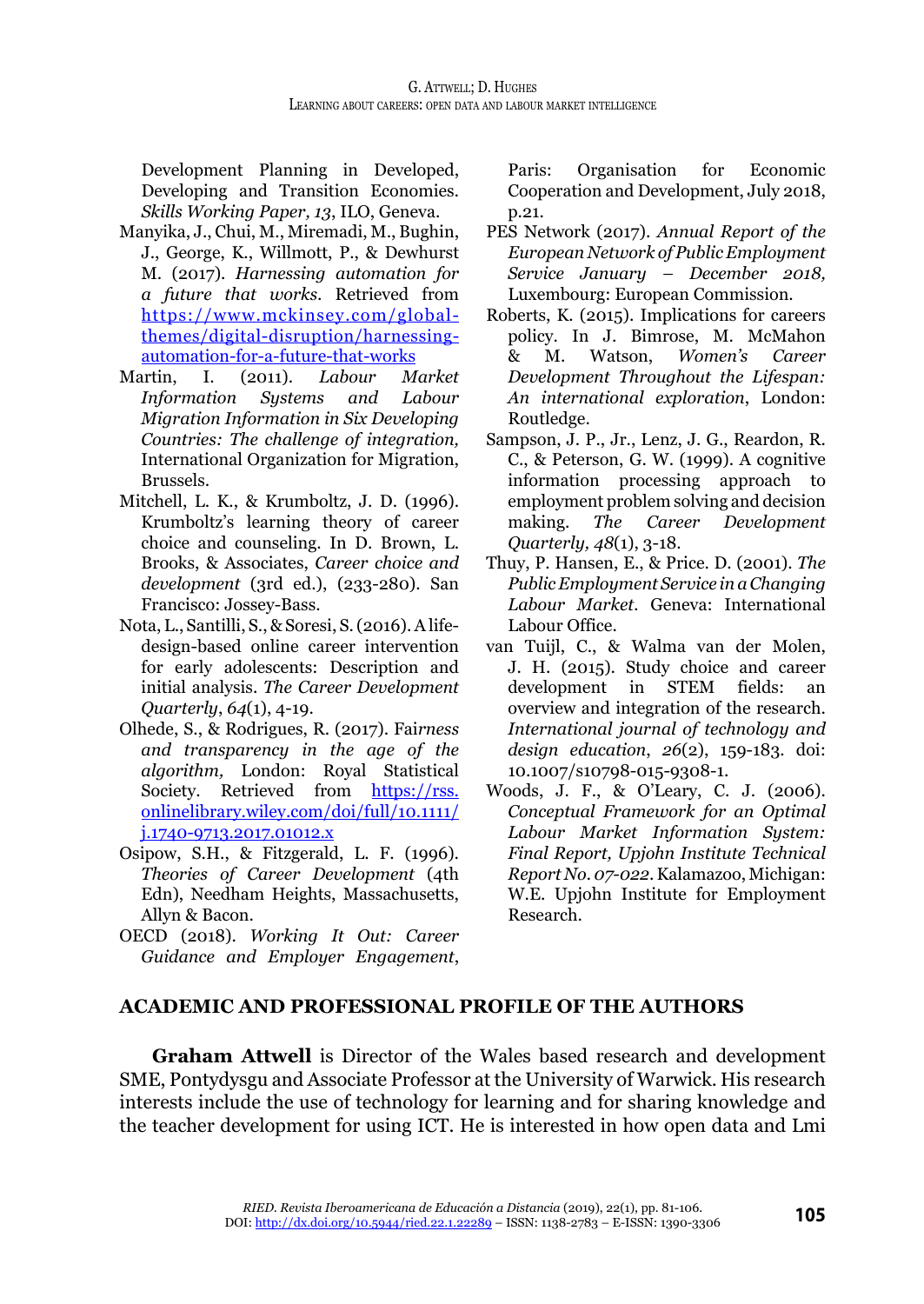Development Planning in Developed, Developing and Transition Economies*. Skills Working Paper, 13*, ILO, Geneva.

- Manyika, J., Chui, M., Miremadi, M., Bughin, J., George, K., Willmott, P., & Dewhurst M. (2017). *Harnessing automation for a future that works*. Retrieved from [https://www.mckinsey.com/global](https://www.mckinsey.com/global-themes/digital-disruption/harnessing-automation-for-a-future-that-works)[themes/digital-disruption/harnessing](https://www.mckinsey.com/global-themes/digital-disruption/harnessing-automation-for-a-future-that-works)[automation-for-a-future-that-works](https://www.mckinsey.com/global-themes/digital-disruption/harnessing-automation-for-a-future-that-works)
- Martin, I. (2011). *Labour Market Information Systems and Migration Information in Six Developing Countries: The challenge of integration,* International Organization for Migration, Brussels.
- Mitchell, L. K., & Krumboltz, J. D. (1996). Krumboltz's learning theory of career choice and counseling. In D. Brown, L. Brooks, & Associates, *Career choice and development* (3rd ed.), (233-280). San Francisco: Jossey-Bass.
- Nota, L., Santilli, S., & Soresi, S. (2016). A lifedesign-based online career intervention for early adolescents: Description and initial analysis. *The Career Development Quarterly*, *64*(1), 4-19.
- Olhede, S., & Rodrigues, R. (2017). Fai*rness and transparency in the age of the algorithm,* London: Royal Statistical Society. Retrieved from [https://rss.](https://rss.onlinelibrary.wiley.com/doi/full/10.1111/j.1740-9713.2017.01012.x) [onlinelibrary.wiley.com/doi/full/10.1111/](https://rss.onlinelibrary.wiley.com/doi/full/10.1111/j.1740-9713.2017.01012.x) [j.1740-9713.2017.01012.x](https://rss.onlinelibrary.wiley.com/doi/full/10.1111/j.1740-9713.2017.01012.x)
- Osipow, S.H., & Fitzgerald, L. F. (1996). *Theories of Career Development* (4th Edn), Needham Heights, Massachusetts, Allyn & Bacon.
- OECD (2018). *Working It Out: Career Guidance and Employer Engagement*,

Paris: Organisation for Economic Cooperation and Development, July 2018, p.21.

- PES Network (2017). *Annual Report of the European Network of Public Employment Service January – December 2018,*  Luxembourg: European Commission.
- Roberts, K. (2015). Implications for careers policy. In J. Bimrose, M. McMahon<br>& M. Watson, *Women's Career* & M. Watson, *Women's Career Development Throughout the Lifespan: An international exploration*, London: Routledge.
- Sampson, J. P., Jr., Lenz, J. G., Reardon, R. C., & Peterson, G. W. (1999). A cognitive information processing approach to employment problem solving and decision making. *The Career Development Quarterly, 48*(1), 3-18.
- Thuy, P. Hansen, E., & Price. D. (2001). *The Public Employment Service in a Changing Labour Market.* Geneva: International Labour Office.
- van Tuijl, C., & Walma van der Molen, J. H. (2015). Study choice and career development in STEM fields: an overview and integration of the research. *International journal of technology and design education*, *26*(2), 159-183. doi: 10.1007/s10798-015-9308-1.
- Woods, J. F., & O'Leary, C. J. (2006). *Conceptual Framework for an Optimal Labour Market Information System: Final Report, Upjohn Institute Technical Report No. 07-022*. Kalamazoo, Michigan: W.E. Upjohn Institute for Employment Research.

#### **ACADEMIC AND PROFESSIONAL PROFILE OF THE AUTHORS**

**Graham Attwell** is Director of the Wales based research and development SME, Pontydysgu and Associate Professor at the University of Warwick. His research interests include the use of technology for learning and for sharing knowledge and the teacher development for using ICT. He is interested in how open data and Lmi